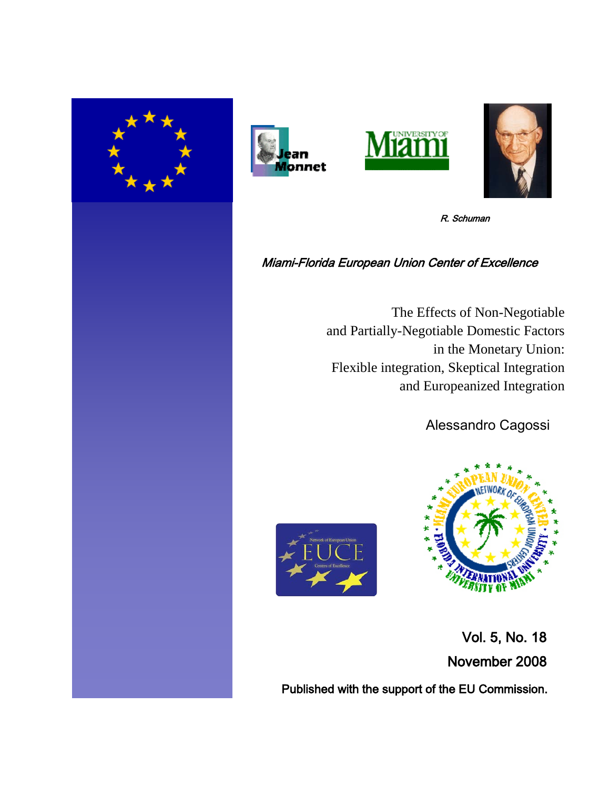







R. Schuman

# Miami-Florida European Union Center of Excellence

The Effects of Non-Negotiable and Partially-Negotiable Domestic Factors in the Monetary Union: Flexible integration, Skeptical Integration and Europeanized Integration

Alessandro Cagossi





 Vol. 5, No. 18 November 2008

Published with the support of the EU Commission.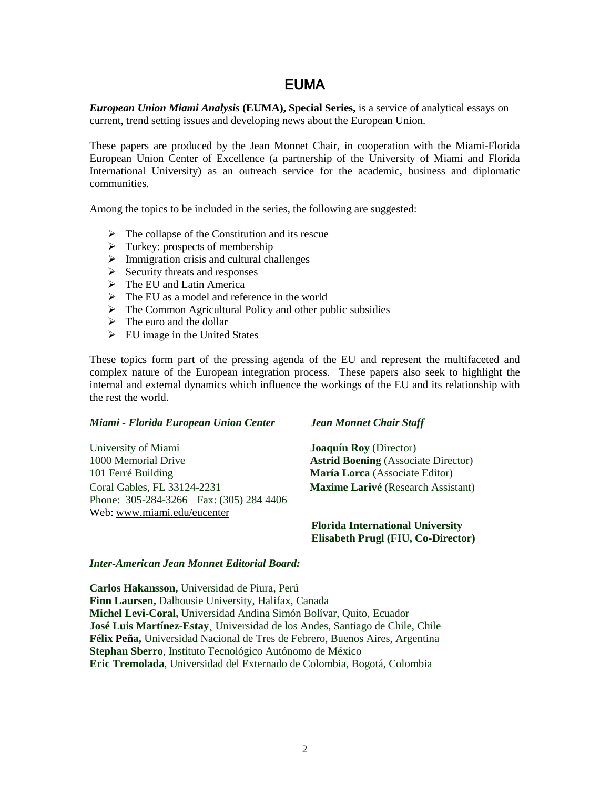# EUMA

*European Union Miami Analysis* **(EUMA), Special Series,** is a service of analytical essays on current, trend setting issues and developing news about the European Union.

These papers are produced by the Jean Monnet Chair, in cooperation with the Miami-Florida European Union Center of Excellence (a partnership of the University of Miami and Florida International University) as an outreach service for the academic, business and diplomatic communities.

Among the topics to be included in the series, the following are suggested:

- $\triangleright$  The collapse of the Constitution and its rescue
- $\triangleright$  Turkey: prospects of membership
- $\triangleright$  Immigration crisis and cultural challenges
- $\triangleright$  Security threats and responses
- $\triangleright$  The EU and Latin America
- $\triangleright$  The EU as a model and reference in the world
- The Common Agricultural Policy and other public subsidies
- $\triangleright$  The euro and the dollar
- $\triangleright$  EU image in the United States

These topics form part of the pressing agenda of the EU and represent the multifaceted and complex nature of the European integration process. These papers also seek to highlight the internal and external dynamics which influence the workings of the EU and its relationship with the rest the world.

#### *Miami - Florida European Union Center Jean Monnet Chair Staff*

University of Miami **Joaquín Roy** (Director) 1000 Memorial Drive **Astrid Boening** (Associate Director) 101 Ferré Building **María Lorca** (Associate Editor) Coral Gables, FL 33124-2231 **Maxime Larivé** (Research Assistant) Phone: 305-284-3266 Fax: (305) 284 4406 Web: [www.miami.edu/eucenter](http://www.miami.edu/eucenter) 

 **Florida International University Elisabeth Prugl (FIU, Co-Director)**

# *Inter-American Jean Monnet Editorial Board:*

**Carlos Hakansson,** Universidad de Piura, Perú **Finn Laursen,** Dalhousie University, Halifax, Canada **Michel Levi-Coral,** Universidad Andina Simón Bolívar, Quito, Ecuador **José Luis Martínez-Estay¸** Universidad de los Andes, Santiago de Chile, Chile **Félix Peña,** Universidad Nacional de Tres de Febrero, Buenos Aires, Argentina **Stephan Sberro**, Instituto Tecnológico Autónomo de México **Eric Tremolada**, Universidad del Externado de Colombia, Bogotá, Colombia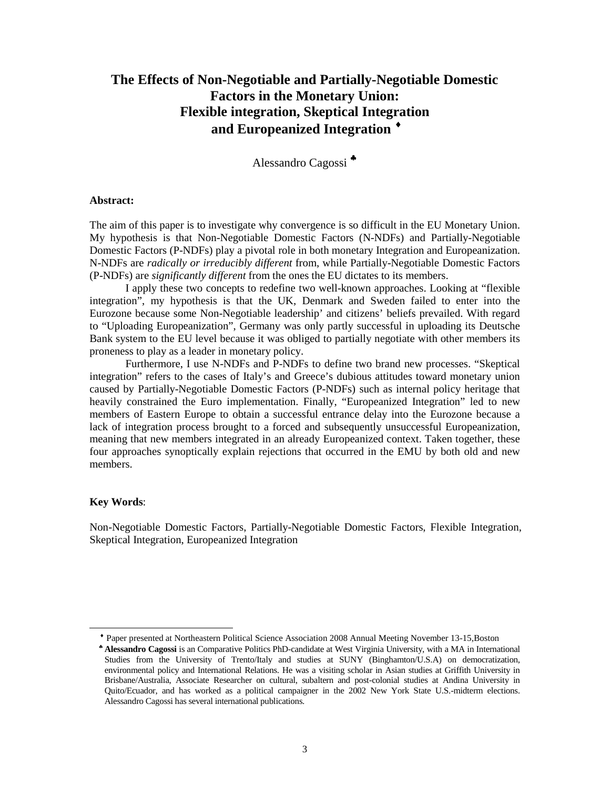# **The Effects of Non-Negotiable and Partially-Negotiable Domestic Factors in the Monetary Union: Flexible integration, Skeptical Integration and Europeanized Integration** [♦](#page-2-0)

Alessandro Cagossi [♣](#page-2-1)

## **Abstract:**

The aim of this paper is to investigate why convergence is so difficult in the EU Monetary Union. My hypothesis is that Non-Negotiable Domestic Factors (N-NDFs) and Partially-Negotiable Domestic Factors (P-NDFs) play a pivotal role in both monetary Integration and Europeanization. N-NDFs are *radically or irreducibly different* from, while Partially-Negotiable Domestic Factors (P-NDFs) are *significantly different* from the ones the EU dictates to its members.

I apply these two concepts to redefine two well-known approaches. Looking at "flexible integration", my hypothesis is that the UK, Denmark and Sweden failed to enter into the Eurozone because some Non-Negotiable leadership' and citizens' beliefs prevailed. With regard to "Uploading Europeanization", Germany was only partly successful in uploading its Deutsche Bank system to the EU level because it was obliged to partially negotiate with other members its proneness to play as a leader in monetary policy.

Furthermore, I use N-NDFs and P-NDFs to define two brand new processes. "Skeptical integration" refers to the cases of Italy's and Greece's dubious attitudes toward monetary union caused by Partially-Negotiable Domestic Factors (P-NDFs) such as internal policy heritage that heavily constrained the Euro implementation. Finally, "Europeanized Integration" led to new members of Eastern Europe to obtain a successful entrance delay into the Eurozone because a lack of integration process brought to a forced and subsequently unsuccessful Europeanization, meaning that new members integrated in an already Europeanized context. Taken together, these four approaches synoptically explain rejections that occurred in the EMU by both old and new members.

#### **Key Words**:

<span id="page-2-1"></span><span id="page-2-0"></span> $\overline{a}$ 

Non-Negotiable Domestic Factors, Partially-Negotiable Domestic Factors, Flexible Integration, Skeptical Integration, Europeanized Integration

♦ Paper presented at Northeastern Political Science Association 2008 Annual Meeting November 13-15,Boston

♣ **Alessandro Cagossi** is an Comparative Politics PhD-candidate at West Virginia University, with a MA in International Studies from the University of Trento/Italy and studies at SUNY (Binghamton/U.S.A) on democratization, environmental policy and International Relations. He was a visiting scholar in Asian studies at Griffith University in Brisbane/Australia, Associate Researcher on cultural, subaltern and post-colonial studies at Andina University in Quito/Ecuador, and has worked as a political campaigner in the 2002 New York State U.S.-midterm elections. Alessandro Cagossi has several international publications.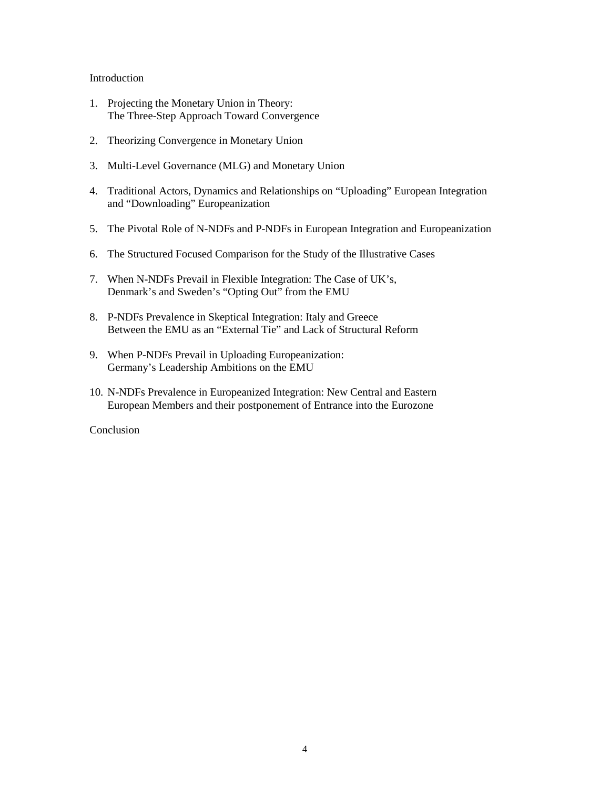# Introduction

- 1. Projecting the Monetary Union in Theory: The Three-Step Approach Toward Convergence
- 2. Theorizing Convergence in Monetary Union
- 3. Multi-Level Governance (MLG) and Monetary Union
- 4. Traditional Actors, Dynamics and Relationships on "Uploading" European Integration and "Downloading" Europeanization
- 5. The Pivotal Role of N-NDFs and P-NDFs in European Integration and Europeanization
- 6. The Structured Focused Comparison for the Study of the Illustrative Cases
- 7. When N-NDFs Prevail in Flexible Integration: The Case of UK's, Denmark's and Sweden's "Opting Out" from the EMU
- 8. P-NDFs Prevalence in Skeptical Integration: Italy and Greece Between the EMU as an "External Tie" and Lack of Structural Reform
- 9. When P-NDFs Prevail in Uploading Europeanization: Germany's Leadership Ambitions on the EMU
- 10. N-NDFs Prevalence in Europeanized Integration: New Central and Eastern European Members and their postponement of Entrance into the Eurozone

Conclusion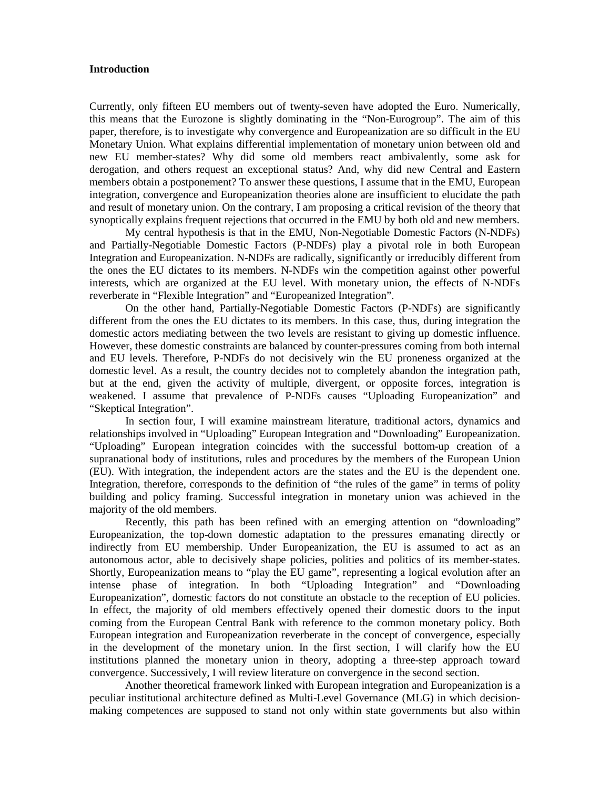## **Introduction**

Currently, only fifteen EU members out of twenty-seven have adopted the Euro. Numerically, this means that the Eurozone is slightly dominating in the "Non-Eurogroup". The aim of this paper, therefore, is to investigate why convergence and Europeanization are so difficult in the EU Monetary Union. What explains differential implementation of monetary union between old and new EU member-states? Why did some old members react ambivalently, some ask for derogation, and others request an exceptional status? And, why did new Central and Eastern members obtain a postponement? To answer these questions, I assume that in the EMU, European integration, convergence and Europeanization theories alone are insufficient to elucidate the path and result of monetary union. On the contrary, I am proposing a critical revision of the theory that synoptically explains frequent rejections that occurred in the EMU by both old and new members.

My central hypothesis is that in the EMU, Non-Negotiable Domestic Factors (N-NDFs) and Partially-Negotiable Domestic Factors (P-NDFs) play a pivotal role in both European Integration and Europeanization. N-NDFs are radically, significantly or irreducibly different from the ones the EU dictates to its members. N-NDFs win the competition against other powerful interests, which are organized at the EU level. With monetary union, the effects of N-NDFs reverberate in "Flexible Integration" and "Europeanized Integration".

On the other hand, Partially-Negotiable Domestic Factors (P-NDFs) are significantly different from the ones the EU dictates to its members. In this case, thus, during integration the domestic actors mediating between the two levels are resistant to giving up domestic influence. However, these domestic constraints are balanced by counter-pressures coming from both internal and EU levels. Therefore, P-NDFs do not decisively win the EU proneness organized at the domestic level. As a result, the country decides not to completely abandon the integration path, but at the end, given the activity of multiple, divergent, or opposite forces, integration is weakened. I assume that prevalence of P-NDFs causes "Uploading Europeanization" and "Skeptical Integration".

In section four, I will examine mainstream literature, traditional actors, dynamics and relationships involved in "Uploading" European Integration and "Downloading" Europeanization. "Uploading" European integration coincides with the successful bottom-up creation of a supranational body of institutions, rules and procedures by the members of the European Union (EU). With integration, the independent actors are the states and the EU is the dependent one. Integration, therefore, corresponds to the definition of "the rules of the game" in terms of polity building and policy framing. Successful integration in monetary union was achieved in the majority of the old members.

Recently, this path has been refined with an emerging attention on "downloading" Europeanization, the top-down domestic adaptation to the pressures emanating directly or indirectly from EU membership. Under Europeanization, the EU is assumed to act as an autonomous actor, able to decisively shape policies, polities and politics of its member-states. Shortly, Europeanization means to "play the EU game", representing a logical evolution after an intense phase of integration. In both "Uploading Integration" and "Downloading Europeanization", domestic factors do not constitute an obstacle to the reception of EU policies. In effect, the majority of old members effectively opened their domestic doors to the input coming from the European Central Bank with reference to the common monetary policy. Both European integration and Europeanization reverberate in the concept of convergence, especially in the development of the monetary union. In the first section, I will clarify how the EU institutions planned the monetary union in theory, adopting a three-step approach toward convergence. Successively, I will review literature on convergence in the second section.

Another theoretical framework linked with European integration and Europeanization is a peculiar institutional architecture defined as Multi-Level Governance (MLG) in which decisionmaking competences are supposed to stand not only within state governments but also within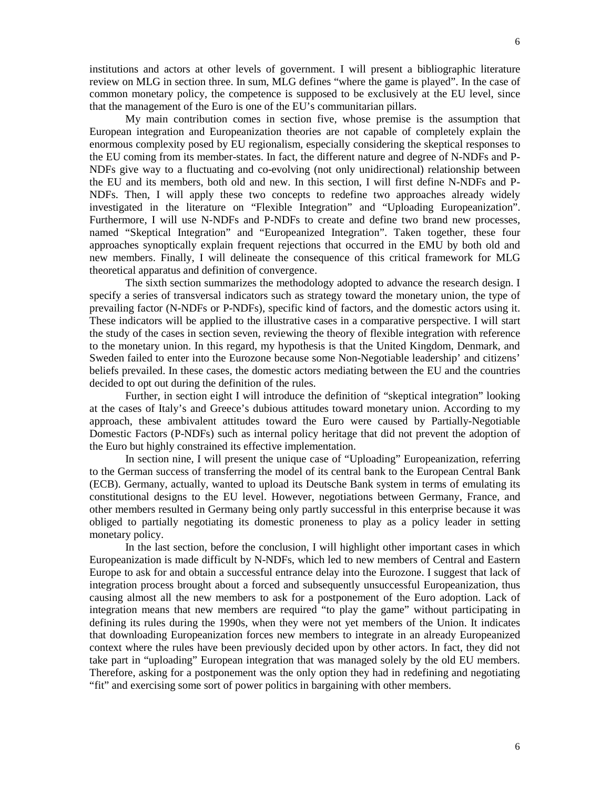institutions and actors at other levels of government. I will present a bibliographic literature review on MLG in section three. In sum, MLG defines "where the game is played". In the case of common monetary policy, the competence is supposed to be exclusively at the EU level, since that the management of the Euro is one of the EU's communitarian pillars.

My main contribution comes in section five, whose premise is the assumption that European integration and Europeanization theories are not capable of completely explain the enormous complexity posed by EU regionalism, especially considering the skeptical responses to the EU coming from its member-states. In fact, the different nature and degree of N-NDFs and P-NDFs give way to a fluctuating and co-evolving (not only unidirectional) relationship between the EU and its members, both old and new. In this section, I will first define N-NDFs and P-NDFs. Then, I will apply these two concepts to redefine two approaches already widely investigated in the literature on "Flexible Integration" and "Uploading Europeanization". Furthermore, I will use N-NDFs and P-NDFs to create and define two brand new processes, named "Skeptical Integration" and "Europeanized Integration". Taken together, these four approaches synoptically explain frequent rejections that occurred in the EMU by both old and new members. Finally, I will delineate the consequence of this critical framework for MLG theoretical apparatus and definition of convergence.

The sixth section summarizes the methodology adopted to advance the research design. I specify a series of transversal indicators such as strategy toward the monetary union, the type of prevailing factor (N-NDFs or P-NDFs), specific kind of factors, and the domestic actors using it. These indicators will be applied to the illustrative cases in a comparative perspective. I will start the study of the cases in section seven, reviewing the theory of flexible integration with reference to the monetary union. In this regard, my hypothesis is that the United Kingdom, Denmark, and Sweden failed to enter into the Eurozone because some Non-Negotiable leadership' and citizens' beliefs prevailed. In these cases, the domestic actors mediating between the EU and the countries decided to opt out during the definition of the rules.

Further, in section eight I will introduce the definition of "skeptical integration" looking at the cases of Italy's and Greece's dubious attitudes toward monetary union. According to my approach, these ambivalent attitudes toward the Euro were caused by Partially-Negotiable Domestic Factors (P-NDFs) such as internal policy heritage that did not prevent the adoption of the Euro but highly constrained its effective implementation.

In section nine, I will present the unique case of "Uploading" Europeanization, referring to the German success of transferring the model of its central bank to the European Central Bank (ECB). Germany, actually, wanted to upload its Deutsche Bank system in terms of emulating its constitutional designs to the EU level. However, negotiations between Germany, France, and other members resulted in Germany being only partly successful in this enterprise because it was obliged to partially negotiating its domestic proneness to play as a policy leader in setting monetary policy.

In the last section, before the conclusion, I will highlight other important cases in which Europeanization is made difficult by N-NDFs, which led to new members of Central and Eastern Europe to ask for and obtain a successful entrance delay into the Eurozone. I suggest that lack of integration process brought about a forced and subsequently unsuccessful Europeanization, thus causing almost all the new members to ask for a postponement of the Euro adoption. Lack of integration means that new members are required "to play the game" without participating in defining its rules during the 1990s, when they were not yet members of the Union. It indicates that downloading Europeanization forces new members to integrate in an already Europeanized context where the rules have been previously decided upon by other actors. In fact, they did not take part in "uploading" European integration that was managed solely by the old EU members. Therefore, asking for a postponement was the only option they had in redefining and negotiating "fit" and exercising some sort of power politics in bargaining with other members.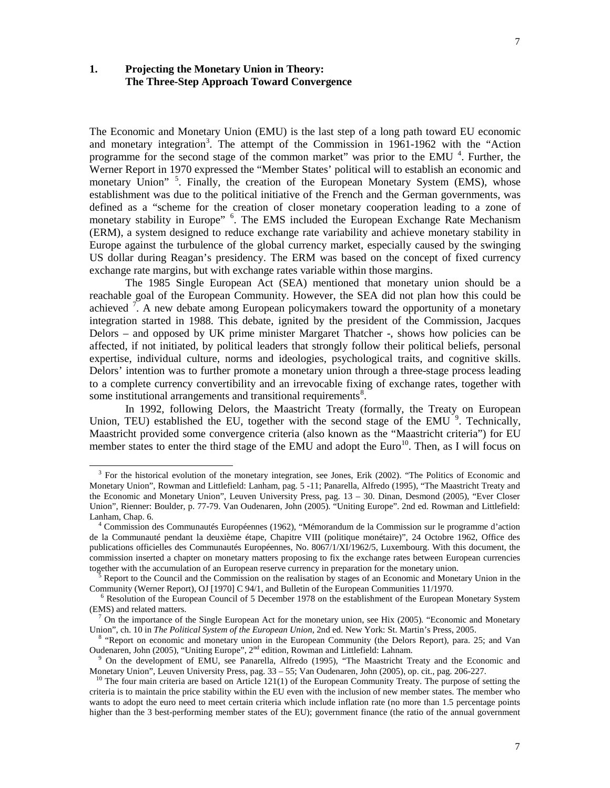# **1. Projecting the Monetary Union in Theory: The Three-Step Approach Toward Convergence**

-

The Economic and Monetary Union (EMU) is the last step of a long path toward EU economic and monetary integration<sup>[3](#page-6-0)</sup>. The attempt of the Commission in 1961-1962 with the "Action programme for the second stage of the common market" was prior to the EMU<sup>[4](#page-6-1)</sup>. Further, the Werner Report in 1970 expressed the "Member States' political will to establish an economic and monetary Union"<sup>[5](#page-6-2)</sup>. Finally, the creation of the European Monetary System (EMS), whose establishment was due to the political initiative of the French and the German governments, was defined as a "scheme for the creation of closer monetary cooperation leading to a zone of monetary stability in Europe" <sup>[6](#page-6-3)</sup>. The EMS included the European Exchange Rate Mechanism (ERM), a system designed to reduce exchange rate variability and achieve monetary stability in Europe against the turbulence of the global currency market, especially caused by the swinging US dollar during Reagan's presidency. The ERM was based on the concept of fixed currency exchange rate margins, but with exchange rates variable within those margins.

The 1985 Single European Act (SEA) mentioned that monetary union should be a reachable goal of the European Community. However, the SEA did not plan how this could be achieved  $\overline{?}$ . A new debate among European policymakers toward the opportunity of a monetary integration started in 1988. This debate, ignited by the president of the Commission, Jacques Delors – and opposed by UK prime minister Margaret Thatcher -, shows how policies can be affected, if not initiated, by political leaders that strongly follow their political beliefs, personal expertise, individual culture, norms and ideologies, psychological traits, and cognitive skills. Delors' intention was to further promote a monetary union through a three-stage process leading to a complete currency convertibility and an irrevocable fixing of exchange rates, together with some institutional arrangements and transitional requirements<sup>[8](#page-6-5)</sup>.

In 1992, following Delors, the Maastricht Treaty (formally, the Treaty on European Union, TEU) established the EU, together with the second stage of the EMU<sup>[9](#page-6-6)</sup>. Technically, Maastricht provided some convergence criteria (also known as the "Maastricht criteria") for EU member states to enter the third stage of the EMU and adopt the Euro<sup>[10](#page-6-7)</sup>. Then, as I will focus on

<span id="page-6-0"></span><sup>&</sup>lt;sup>3</sup> For the historical evolution of the monetary integration, see Jones, Erik (2002). "The Politics of Economic and Monetary Union", Rowman and Littlefield: Lanham, pag. 5 -11; Panarella, Alfredo (1995), "The Maastricht Treaty and the Economic and Monetary Union", Leuven University Press, pag. 13 – 30. Dinan, Desmond (2005), "Ever Closer Union", Rienner: Boulder, p. 77-79. Van Oudenaren, John (2005). "Uniting Europe". 2nd ed. Rowman and Littlefield: Lanham, Chap. 6.

<span id="page-6-1"></span><sup>4</sup> Commission des Communautés Européennes (1962), "Mémorandum de la Commission sur le programme d'action de la Communauté pendant la deuxième étape, Chapitre VIII (politique monétaire)", 24 Octobre 1962, Office des publications officielles des Communautés Européennes, No. 8067/1/XI/1962/5, Luxembourg. With this document, the commission inserted a chapter on monetary matters proposing to fix the exchange rates between European currencies together with the accumulation of an European reserve currency in preparation for the monetary union.

<span id="page-6-2"></span><sup>5</sup> Report to the Council and the Commission on the realisation by stages of an Economic and Monetary Union in the Community (Werner Report), OJ [1970] C 94/1, and Bulletin of the European Communities 11/1970.

<span id="page-6-3"></span> $6$  Resolution of the European Council of 5 December 1978 on the establishment of the European Monetary System (EMS) and related matters.

<span id="page-6-4"></span><sup>&</sup>lt;sup>7</sup> On the importance of the Single European Act for the monetary union, see Hix (2005). "Economic and Monetary Union", ch. 10 in *The Political System of the European Union*, 2nd ed. New York: St. Martin's Press, 2005.

<span id="page-6-5"></span><sup>8</sup> "Report on economic and monetary union in the European Community (the Delors Report), para. 25; and Van Oudenaren, John (2005), "Uniting Europe", 2nd edition, Rowman and Littlefield: Lahnam.

<span id="page-6-6"></span><sup>9</sup> On the development of EMU, see Panarella, Alfredo (1995), "The Maastricht Treaty and the Economic and Monetary Union", Leuven University Press, pag. 33 – 55; Van Oudenaren, John (2005), op. cit., pag. 206-227.

<span id="page-6-7"></span> $10$  The four main criteria are based on Article 121(1) of the European Community Treaty. The purpose of setting the criteria is to maintain the price stability within the EU even with the inclusion of new member states. The member who wants to adopt the euro need to meet certain criteria which include inflation rate (no more than 1.5 percentage points higher than the 3 best-performing member states of the EU); government finance (the ratio of the annual government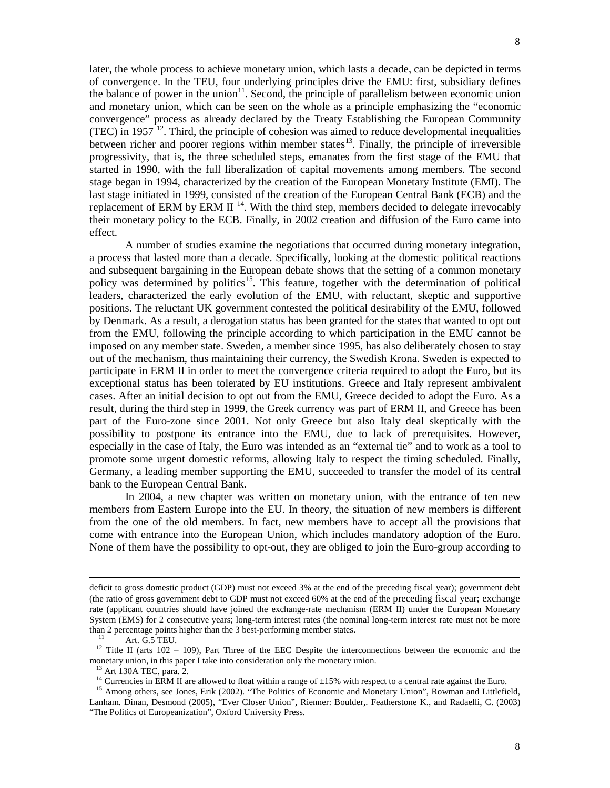later, the whole process to achieve monetary union, which lasts a decade, can be depicted in terms of convergence. In the TEU, four underlying principles drive the EMU: first, subsidiary defines the balance of power in the union<sup>[11](#page-7-0)</sup>. Second, the principle of parallelism between economic union and monetary union, which can be seen on the whole as a principle emphasizing the "economic convergence" process as already declared by the Treaty Establishing the European Community (TEC) in 1957 $^{12}$  $^{12}$  $^{12}$ . Third, the principle of cohesion was aimed to reduce developmental inequalities between richer and poorer regions within member states<sup>13</sup>. Finally, the principle of irreversible progressivity, that is, the three scheduled steps, emanates from the first stage of the EMU that started in 1990, with the full liberalization of capital movements among members. The second stage began in 1994, characterized by the creation of the European Monetary Institute (EMI). The last stage initiated in 1999, consisted of the creation of the European Central Bank (ECB) and the replacement of ERM by ERM II<sup>[14](#page-7-3)</sup>. With the third step, members decided to delegate irrevocably their monetary policy to the ECB. Finally, in 2002 creation and diffusion of the Euro came into effect.

A number of studies examine the negotiations that occurred during monetary integration, a process that lasted more than a decade. Specifically, looking at the domestic political reactions and subsequent bargaining in the European debate shows that the setting of a common monetary policy was determined by politics<sup>[15](#page-7-4)</sup>. This feature, together with the determination of political leaders, characterized the early evolution of the EMU, with reluctant, skeptic and supportive positions. The reluctant UK government contested the political desirability of the EMU, followed by Denmark. As a result, a derogation status has been granted for the states that wanted to opt out from the EMU, following the principle according to which participation in the EMU cannot be imposed on any member state. Sweden, a member since 1995, has also deliberately chosen to stay out of the mechanism, thus maintaining their currency, the Swedish Krona. Sweden is expected to participate in ERM II in order to meet the convergence criteria required to adopt the Euro, but its exceptional status has been tolerated by EU institutions. Greece and Italy represent ambivalent cases. After an initial decision to opt out from the EMU, Greece decided to adopt the Euro. As a result, during the third step in 1999, the Greek currency was part of ERM II, and Greece has been part of the Euro-zone since 2001. Not only Greece but also Italy deal skeptically with the possibility to postpone its entrance into the EMU, due to lack of prerequisites. However, especially in the case of Italy, the Euro was intended as an "external tie" and to work as a tool to promote some urgent domestic reforms, allowing Italy to respect the timing scheduled. Finally, Germany, a leading member supporting the EMU, succeeded to transfer the model of its central bank to the European Central Bank.

In 2004, a new chapter was written on monetary union, with the entrance of ten new members from Eastern Europe into the EU. In theory, the situation of new members is different from the one of the old members. In fact, new members have to accept all the provisions that come with entrance into the European Union, which includes mandatory adoption of the Euro. None of them have the possibility to opt-out, they are obliged to join the Euro-group according to

-

deficit to gross domestic product (GDP) must not exceed 3% at the end of the preceding fiscal year); government debt (the ratio of gross government debt to GDP must not exceed 60% at the end of the preceding fiscal year; exchange rate (applicant countries should have joined the exchange-rate mechanism (ERM II) under the European Monetary System (EMS) for 2 consecutive years; long-term interest rates (the nominal long-term interest rate must not be more than 2 percentage points higher than the 3 best-performing member states.

Art. G.5 TEU.

<span id="page-7-1"></span><span id="page-7-0"></span><sup>&</sup>lt;sup>12</sup> Title II (arts 102 – 109), Part Three of the EEC Despite the interconnections between the economic and the monetary union, in this paper I take into consideration only the monetary union.

 $13$  Art 130A TEC, para. 2.

<sup>&</sup>lt;sup>14</sup> Currencies in ERM II are allowed to float within a range of  $\pm 15\%$  with respect to a central rate against the Euro.

<span id="page-7-4"></span><span id="page-7-3"></span><span id="page-7-2"></span><sup>&</sup>lt;sup>15</sup> Among others, see Jones, Erik (2002). "The Politics of Economic and Monetary Union", Rowman and Littlefield, Lanham. Dinan, Desmond (2005), "Ever Closer Union", Rienner: Boulder,. Featherstone K., and Radaelli, C. (2003) "The Politics of Europeanization", Oxford University Press.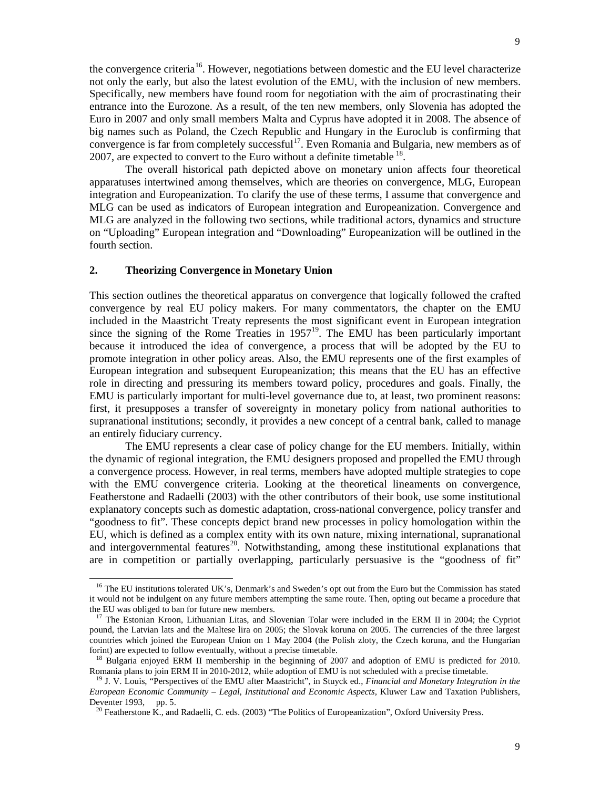the convergence criteria<sup>[16](#page-8-0)</sup>. However, negotiations between domestic and the EU level characterize not only the early, but also the latest evolution of the EMU, with the inclusion of new members. Specifically, new members have found room for negotiation with the aim of procrastinating their entrance into the Eurozone. As a result, of the ten new members, only Slovenia has adopted the Euro in 2007 and only small members Malta and Cyprus have adopted it in 2008. The absence of big names such as Poland, the Czech Republic and Hungary in the Euroclub is confirming that convergence is far from completely successful<sup>17</sup>. Even Romania and Bulgaria, new members as of 2007, are expected to convert to the Euro without a definite timetable  $^{18}$  $^{18}$  $^{18}$ .

The overall historical path depicted above on monetary union affects four theoretical apparatuses intertwined among themselves, which are theories on convergence, MLG, European integration and Europeanization. To clarify the use of these terms, I assume that convergence and MLG can be used as indicators of European integration and Europeanization. Convergence and MLG are analyzed in the following two sections, while traditional actors, dynamics and structure on "Uploading" European integration and "Downloading" Europeanization will be outlined in the fourth section.

# **2. Theorizing Convergence in Monetary Union**

j

This section outlines the theoretical apparatus on convergence that logically followed the crafted convergence by real EU policy makers. For many commentators, the chapter on the EMU included in the Maastricht Treaty represents the most significant event in European integration since the signing of the Rome Treaties in  $1957<sup>19</sup>$  $1957<sup>19</sup>$ . The EMU has been particularly important because it introduced the idea of convergence, a process that will be adopted by the EU to promote integration in other policy areas. Also, the EMU represents one of the first examples of European integration and subsequent Europeanization; this means that the EU has an effective role in directing and pressuring its members toward policy, procedures and goals. Finally, the EMU is particularly important for multi-level governance due to, at least, two prominent reasons: first, it presupposes a transfer of sovereignty in monetary policy from national authorities to supranational institutions; secondly, it provides a new concept of a central bank, called to manage an entirely fiduciary currency.

The EMU represents a clear case of policy change for the EU members. Initially, within the dynamic of regional integration, the EMU designers proposed and propelled the EMU through a convergence process. However, in real terms, members have adopted multiple strategies to cope with the EMU convergence criteria. Looking at the theoretical lineaments on convergence, Featherstone and Radaelli (2003) with the other contributors of their book, use some institutional explanatory concepts such as domestic adaptation, cross-national convergence, policy transfer and "goodness to fit". These concepts depict brand new processes in policy homologation within the EU, which is defined as a complex entity with its own nature, mixing international, supranational and intergovernmental features<sup>[20](#page-8-4)</sup>. Notwithstanding, among these institutional explanations that are in competition or partially overlapping, particularly persuasive is the "goodness of fit"

<span id="page-8-0"></span><sup>&</sup>lt;sup>16</sup> The EU institutions tolerated UK's, Denmark's and Sweden's opt out from the Euro but the Commission has stated it would not be indulgent on any future members attempting the same route. Then, opting out became a procedure that the EU was obliged to ban for future new members.

<span id="page-8-1"></span><sup>&</sup>lt;sup>17</sup> The Estonian Kroon, Lithuanian Litas, and Slovenian Tolar were included in the ERM II in 2004; the Cypriot pound, the Latvian lats and the Maltese lira on 2005; the Slovak koruna on 2005. The currencies of the three largest countries which joined the European Union on 1 May 2004 (the Polish zloty, the Czech koruna, and the Hungarian forint) are expected to follow eventually, without a precise timetable.

<span id="page-8-2"></span><sup>&</sup>lt;sup>18</sup> Bulgaria enjoyed ERM II membership in the beginning of 2007 and adoption of EMU is predicted for 2010. Romania plans to join ERM II in 2010-2012, while adoption of EMU is not scheduled with a precise timetable.

<span id="page-8-4"></span><span id="page-8-3"></span><sup>19</sup> J. V. Louis, "Perspectives of the EMU after Maastricht", in Stuyck ed., *Financial and Monetary Integration in the European Economic Community – Legal, Institutional and Economic Aspects,* Kluwer Law and Taxation Publishers, Deventer 1993, pp. 5.

<sup>&</sup>lt;sup>20</sup> Featherstone K., and Radaelli, C. eds. (2003) "The Politics of Europeanization", Oxford University Press.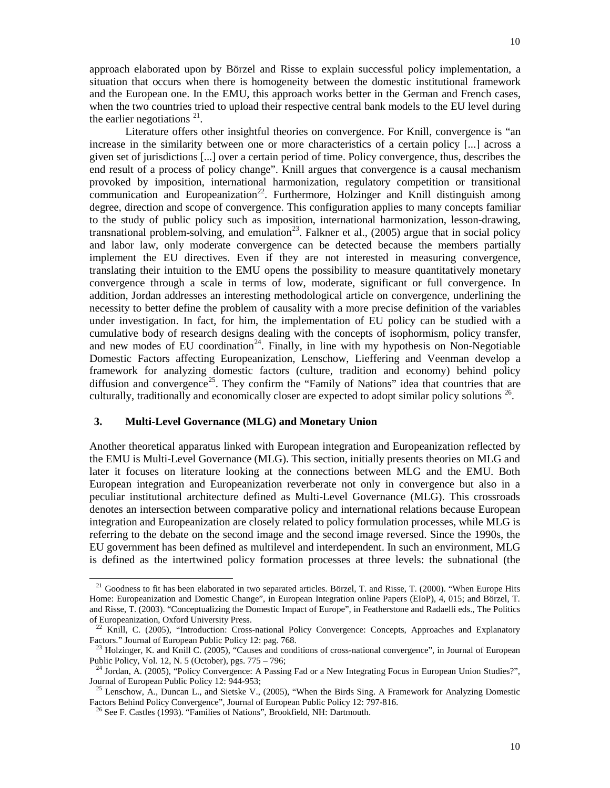approach elaborated upon by Börzel and Risse to explain successful policy implementation, a situation that occurs when there is homogeneity between the domestic institutional framework and the European one. In the EMU, this approach works better in the German and French cases, when the two countries tried to upload their respective central bank models to the EU level during the earlier negotiations  $21$ .

Literature offers other insightful theories on convergence. For Knill, convergence is "an increase in the similarity between one or more characteristics of a certain policy [...] across a given set of jurisdictions [...] over a certain period of time. Policy convergence, thus, describes the end result of a process of policy change". Knill argues that convergence is a causal mechanism provoked by imposition, international harmonization, regulatory competition or transitional communication and Europeanization<sup>22</sup>. Furthermore, Holzinger and Knill distinguish among degree, direction and scope of convergence. This configuration applies to many concepts familiar to the study of public policy such as imposition, international harmonization, lesson-drawing, transnational problem-solving, and emulation<sup>[23](#page-9-2)</sup>. Falkner et al., (2005) argue that in social policy and labor law, only moderate convergence can be detected because the members partially implement the EU directives. Even if they are not interested in measuring convergence, translating their intuition to the EMU opens the possibility to measure quantitatively monetary convergence through a scale in terms of low, moderate, significant or full convergence. In addition, Jordan addresses an interesting methodological article on convergence, underlining the necessity to better define the problem of causality with a more precise definition of the variables under investigation. In fact, for him, the implementation of EU policy can be studied with a cumulative body of research designs dealing with the concepts of isophormism, policy transfer, and new modes of EU coordination<sup>[24](#page-9-3)</sup>. Finally, in line with my hypothesis on Non-Negotiable Domestic Factors affecting Europeanization, Lenschow, Lieffering and Veenman develop a framework for analyzing domestic factors (culture, tradition and economy) behind policy diffusion and convergence<sup>[25](#page-9-4)</sup>. They confirm the "Family of Nations" idea that countries that are culturally, traditionally and economically closer are expected to adopt similar policy solutions<sup>[26](#page-9-5)</sup>.

# **3. Multi-Level Governance (MLG) and Monetary Union**

Another theoretical apparatus linked with European integration and Europeanization reflected by the EMU is Multi-Level Governance (MLG). This section, initially presents theories on MLG and later it focuses on literature looking at the connections between MLG and the EMU. Both European integration and Europeanization reverberate not only in convergence but also in a peculiar institutional architecture defined as Multi-Level Governance (MLG). This crossroads denotes an intersection between comparative policy and international relations because European integration and Europeanization are closely related to policy formulation processes, while MLG is referring to the debate on the second image and the second image reversed. Since the 1990s, the EU government has been defined as multilevel and interdependent. In such an environment, MLG is defined as the intertwined policy formation processes at three levels: the subnational (the

j

<span id="page-9-0"></span> $21$  Goodness to fit has been elaborated in two separated articles. Börzel, T. and Risse, T. (2000). "When Europe Hits Home: Europeanization and Domestic Change", in European Integration online Papers (EIoP), 4, 015; and Börzel, T. and Risse, T. (2003). "Conceptualizing the Domestic Impact of Europe", in Featherstone and Radaelli eds., The Politics of Europeanization, Oxford University Press.

<span id="page-9-1"></span><sup>&</sup>lt;sup>22</sup> Knill, C. (2005), "Introduction: Cross-national Policy Convergence: Concepts, Approaches and Explanatory Factors." Journal of European Public Policy 12: pag. 768.

<span id="page-9-2"></span><sup>&</sup>lt;sup>23</sup> Holzinger, K. and Knill C. (2005), "Causes and conditions of cross-national convergence", in Journal of European Public Policy, Vol. 12, N. 5 (October), pgs. 775 – 796;

<span id="page-9-3"></span><sup>&</sup>lt;sup>24</sup> Jordan, A. (2005), "Policy Convergence: A Passing Fad or a New Integrating Focus in European Union Studies?", Journal of European Public Policy 12: 944-953;

<span id="page-9-5"></span><span id="page-9-4"></span><sup>&</sup>lt;sup>25</sup> Lenschow, A., Duncan L., and Sietske V., (2005), "When the Birds Sing. A Framework for Analyzing Domestic Factors Behind Policy Convergence", Journal of European Public Policy 12: 797-816.

<sup>&</sup>lt;sup>26</sup> See F. Castles (1993). "Families of Nations", Brookfield, NH: Dartmouth.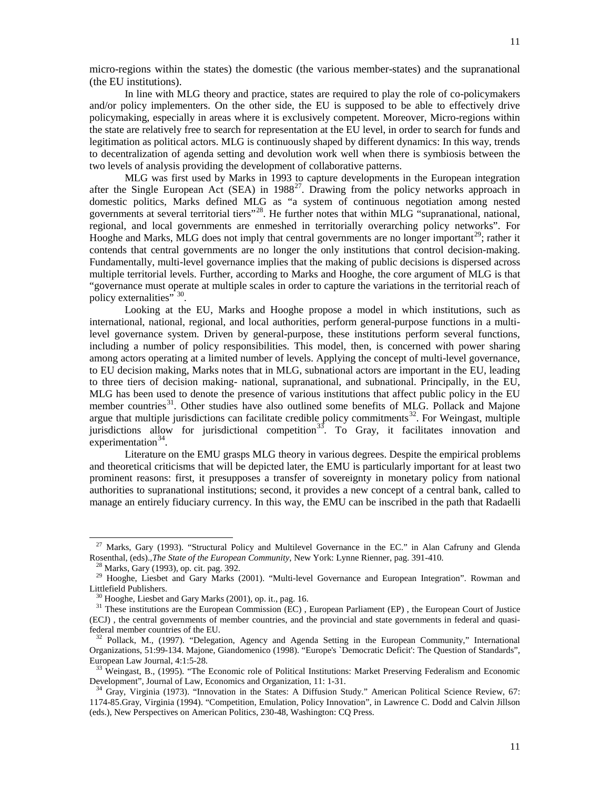micro-regions within the states) the domestic (the various member-states) and the supranational (the EU institutions).

In line with MLG theory and practice, states are required to play the role of co-policymakers and/or policy implementers. On the other side, the EU is supposed to be able to effectively drive policymaking, especially in areas where it is exclusively competent. Moreover, Micro-regions within the state are relatively free to search for representation at the EU level, in order to search for funds and legitimation as political actors. MLG is continuously shaped by different dynamics: In this way, trends to decentralization of agenda setting and devolution work well when there is symbiosis between the two levels of analysis providing the development of collaborative patterns.

MLG was first used by Marks in 1993 to capture developments in the European integration after the Single European Act (SEA) in 1988<sup>27</sup>. Drawing from the policy networks approach in domestic politics, Marks defined MLG as "a system of continuous negotiation among nested governments at several territorial tiers<sup>"[28](#page-10-1)</sup>. He further notes that within MLG "supranational, national, regional, and local governments are enmeshed in territorially overarching policy networks". For Hooghe and Marks, MLG does not imply that central governments are no longer important<sup>[29](#page-10-2)</sup>; rather it contends that central governments are no longer the only institutions that control decision-making. Fundamentally, multi-level governance implies that the making of public decisions is dispersed across multiple territorial levels. Further, according to Marks and Hooghe, the core argument of MLG is that "governance must operate at multiple scales in order to capture the variations in the territorial reach of policy externalities" [30](#page-10-3).

Looking at the EU, Marks and Hooghe propose a model in which institutions, such as international, national, regional, and local authorities, perform general-purpose functions in a multilevel governance system. Driven by general-purpose, these institutions perform several functions, including a number of policy responsibilities. This model, then, is concerned with power sharing among actors operating at a limited number of levels. Applying the concept of multi-level governance, to EU decision making, Marks notes that in MLG, subnational actors are important in the EU, leading to three tiers of decision making- national, supranational, and subnational. Principally, in the EU, MLG has been used to denote the presence of various institutions that affect public policy in the EU member countries<sup>31</sup>. Other studies have also outlined some benefits of MLG. Pollack and Majone argue that multiple jurisdictions can facilitate credible policy commitments<sup>32</sup>. For Weingast, multiple jurisdictions allow for jurisdictional competition<sup>[33](#page-10-6)</sup>. To Gray, it facilitates innovation and  $experimentation<sup>34</sup>$  $experimentation<sup>34</sup>$  $experimentation<sup>34</sup>$ .

Literature on the EMU grasps MLG theory in various degrees. Despite the empirical problems and theoretical criticisms that will be depicted later, the EMU is particularly important for at least two prominent reasons: first, it presupposes a transfer of sovereignty in monetary policy from national authorities to supranational institutions; second, it provides a new concept of a central bank, called to manage an entirely fiduciary currency. In this way, the EMU can be inscribed in the path that Radaelli

-

<span id="page-10-0"></span><sup>&</sup>lt;sup>27</sup> Marks, Gary (1993). "Structural Policy and Multilevel Governance in the EC." in Alan Cafruny and Glenda Rosenthal, (eds).,*The State of the European Community*, New York: Lynne Rienner, pag. 391-410.

<sup>&</sup>lt;sup>28</sup> Marks, Gary (1993), op. cit. pag. 392.

<span id="page-10-2"></span><span id="page-10-1"></span><sup>&</sup>lt;sup>29</sup> Hooghe, Liesbet and Gary Marks (2001). "Multi-level Governance and European Integration". Rowman and Littlefield Publishers.

 $^{0}$  Hooghe, Liesbet and Gary Marks (2001), op. it., pag. 16.

<span id="page-10-4"></span><span id="page-10-3"></span><sup>&</sup>lt;sup>31</sup> These institutions are the European Commission (EC), European Parliament (EP), the European Court of Justice (ECJ) , the central governments of member countries, and the provincial and state governments in federal and quasifederal member countries of the EU.

<span id="page-10-5"></span><sup>32</sup> Pollack, M., (1997). "Delegation, Agency and Agenda Setting in the European Community," International Organizations, 51:99-134. Majone, Giandomenico (1998). "Europe's `Democratic Deficit': The Question of Standards", European Law Journal, 4:1:5-28.

<span id="page-10-6"></span><sup>&</sup>lt;sup>33</sup> Weingast, B., (1995). "The Economic role of Political Institutions: Market Preserving Federalism and Economic Development", Journal of Law, Economics and Organization, 11: 1-31.

<span id="page-10-7"></span><sup>&</sup>lt;sup>34</sup> Gray, Virginia (1973). "Innovation in the States: A Diffusion Study." American Political Science Review, 67: 1174-85.Gray, Virginia (1994). "Competition, Emulation, Policy Innovation", in Lawrence C. Dodd and Calvin Jillson (eds.), New Perspectives on American Politics, 230-48, Washington: CQ Press.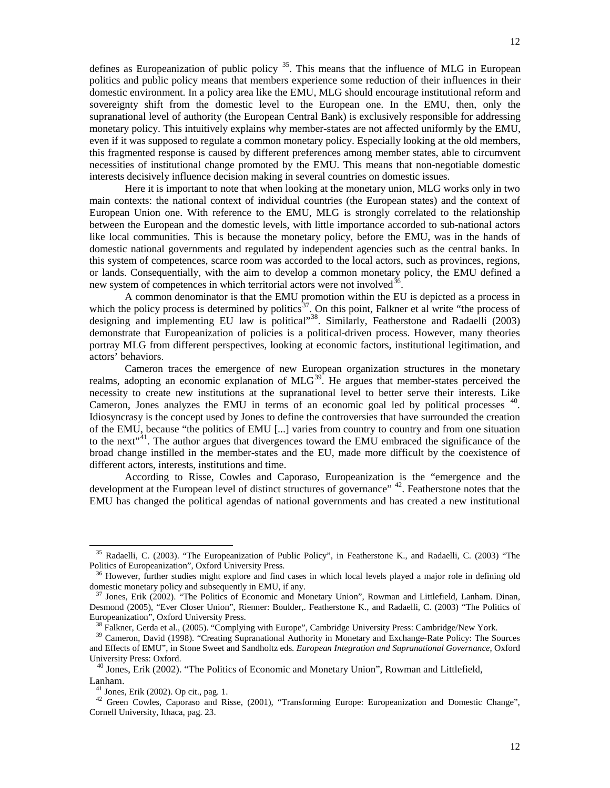defines as Europeanization of public policy <sup>[35](#page-11-0)</sup>. This means that the influence of MLG in European politics and public policy means that members experience some reduction of their influences in their domestic environment. In a policy area like the EMU, MLG should encourage institutional reform and sovereignty shift from the domestic level to the European one. In the EMU, then, only the supranational level of authority (the European Central Bank) is exclusively responsible for addressing monetary policy. This intuitively explains why member-states are not affected uniformly by the EMU, even if it was supposed to regulate a common monetary policy. Especially looking at the old members, this fragmented response is caused by different preferences among member states, able to circumvent necessities of institutional change promoted by the EMU. This means that non-negotiable domestic interests decisively influence decision making in several countries on domestic issues.

Here it is important to note that when looking at the monetary union, MLG works only in two main contexts: the national context of individual countries (the European states) and the context of European Union one. With reference to the EMU, MLG is strongly correlated to the relationship between the European and the domestic levels, with little importance accorded to sub-national actors like local communities. This is because the monetary policy, before the EMU, was in the hands of domestic national governments and regulated by independent agencies such as the central banks. In this system of competences, scarce room was accorded to the local actors, such as provinces, regions, or lands. Consequentially, with the aim to develop a common monetary policy, the EMU defined a new system of competences in which territorial actors were not involved<sup>[36](#page-11-1)</sup>.

A common denominator is that the EMU promotion within the EU is depicted as a process in which the policy process is determined by politics<sup>37</sup>. On this point, Falkner et al write "the process of designing and implementing EU law is political"<sup>[38](#page-11-3)</sup>. Similarly, Featherstone and Radaelli (2003) demonstrate that Europeanization of policies is a political-driven process. However, many theories portray MLG from different perspectives, looking at economic factors, institutional legitimation, and actors' behaviors.

Cameron traces the emergence of new European organization structures in the monetary realms, adopting an economic explanation of MLG<sup>39</sup>. He argues that member-states perceived the necessity to create new institutions at the supranational level to better serve their interests. Like Cameron, Jones analyzes the EMU in terms of an economic goal led by political processes <sup>[40](#page-11-5)</sup>. Idiosyncrasy is the concept used by Jones to define the controversies that have surrounded the creation of the EMU, because "the politics of EMU [...] varies from country to country and from one situation to the next"<sup>[41](#page-11-6)</sup>. The author argues that divergences toward the EMU embraced the significance of the broad change instilled in the member-states and the EU, made more difficult by the coexistence of different actors, interests, institutions and time.

According to Risse, Cowles and Caporaso, Europeanization is the "emergence and the development at the European level of distinct structures of governance"<sup>[42](#page-11-7)</sup>. Featherstone notes that the EMU has changed the political agendas of national governments and has created a new institutional

j

<span id="page-11-0"></span><sup>35</sup> Radaelli, C. (2003). "The Europeanization of Public Policy", in Featherstone K., and Radaelli, C. (2003) "The Politics of Europeanization", Oxford University Press.

<span id="page-11-1"></span><sup>&</sup>lt;sup>36</sup> However, further studies might explore and find cases in which local levels played a major role in defining old domestic monetary policy and subsequently in EMU, if any.

<span id="page-11-2"></span><sup>&</sup>lt;sup>37</sup> Jones, Erik (2002). "The Politics of Economic and Monetary Union", Rowman and Littlefield, Lanham. Dinan, Desmond (2005), "Ever Closer Union", Rienner: Boulder,. Featherstone K., and Radaelli, C. (2003) "The Politics of Europeanization", Oxford University Press.

 $38$  Falkner, Gerda et al., (2005). "Complying with Europe", Cambridge University Press: Cambridge/New York.

<span id="page-11-4"></span><span id="page-11-3"></span><sup>&</sup>lt;sup>39</sup> Cameron, David (1998). "Creating Supranational Authority in Monetary and Exchange-Rate Policy: The Sources and Effects of EMU", in Stone Sweet and Sandholtz eds. *European Integration and Supranational Governance*, Oxford University Press: Oxford.

<span id="page-11-5"></span><sup>&</sup>lt;sup>40</sup> Jones, Erik (2002). "The Politics of Economic and Monetary Union", Rowman and Littlefield, Lanham.

 $41$  Jones, Erik (2002). Op cit., pag. 1.

<span id="page-11-7"></span><span id="page-11-6"></span><sup>&</sup>lt;sup>42</sup> Green Cowles, Caporaso and Risse, (2001), "Transforming Europe: Europeanization and Domestic Change", Cornell University, Ithaca, pag. 23.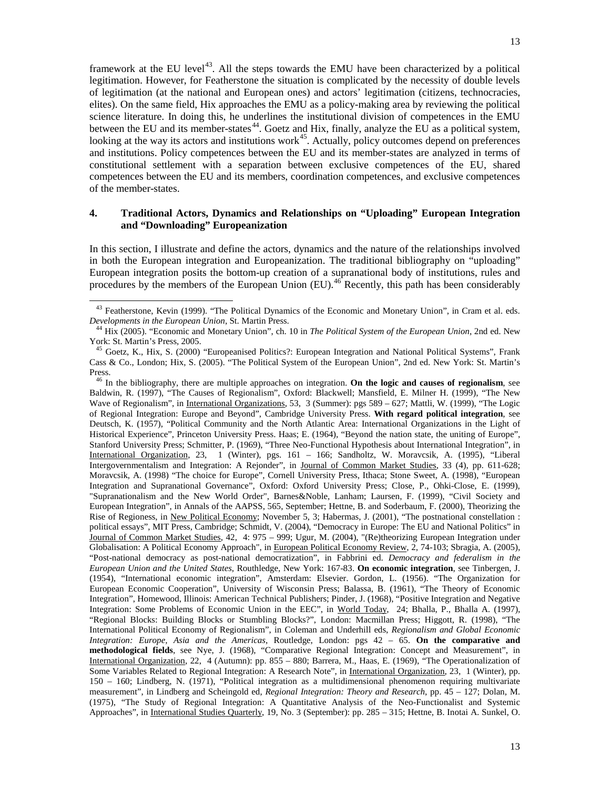framework at the EU level<sup>[43](#page-12-0)</sup>. All the steps towards the EMU have been characterized by a political legitimation. However, for Featherstone the situation is complicated by the necessity of double levels of legitimation (at the national and European ones) and actors' legitimation (citizens, technocracies, elites). On the same field, Hix approaches the EMU as a policy-making area by reviewing the political science literature. In doing this, he underlines the institutional division of competences in the EMU between the EU and its member-states<sup>[44](#page-12-1)</sup>. Goetz and Hix, finally, analyze the EU as a political system, looking at the way its actors and institutions work<sup>[45](#page-12-2)</sup>. Actually, policy outcomes depend on preferences and institutions. Policy competences between the EU and its member-states are analyzed in terms of constitutional settlement with a separation between exclusive competences of the EU, shared competences between the EU and its members, coordination competences, and exclusive competences of the member-states.

# **4. Traditional Actors, Dynamics and Relationships on "Uploading" European Integration and "Downloading" Europeanization**

In this section, I illustrate and define the actors, dynamics and the nature of the relationships involved in both the European integration and Europeanization. The traditional bibliography on "uploading" European integration posits the bottom-up creation of a supranational body of institutions, rules and procedures by the members of the European Union (EU).<sup>[46](#page-12-3)</sup> Recently, this path has been considerably

j

<span id="page-12-3"></span> <sup>46</sup> In the bibliography, there are multiple approaches on integration. **On the logic and causes of regionalism**, see Baldwin, R. (1997), "The Causes of Regionalism", Oxford: Blackwell; Mansfield, E. Milner H. (1999), "The New Wave of Regionalism", in International Organizations, 53, 3 (Summer): pgs 589 - 627; Mattli, W. (1999), "The Logic of Regional Integration: Europe and Beyond", Cambridge University Press. **With regard political integration**, see Deutsch, K. (1957), "Political Community and the North Atlantic Area: International Organizations in the Light of Historical Experience", Princeton University Press. Haas; E. (1964), "Beyond the nation state, the uniting of Europe", Stanford University Press; Schmitter, P. (1969), "Three Neo-Functional Hypothesis about International Integration", in International Organization, 23, 1 (Winter), pgs. 161 – 166; Sandholtz, W. Moravcsik, A. (1995), "Liberal Intergovernmentalism and Integration: A Rejonder", in Journal of Common Market Studies, 33 (4), pp. 611-628; Moravcsik, A. (1998) "The choice for Europe", Cornell University Press, Ithaca; Stone Sweet, A. (1998), "European Integration and Supranational Governance", Oxford: Oxford University Press; Close, P., Ohki-Close, E. (1999), "Supranationalism and the New World Order", Barnes&Noble, Lanham; Laursen, F. (1999), "Civil Society and European Integration", in Annals of the AAPSS, 565, September; Hettne, B. and Soderbaum, F. (2000), Theorizing the Rise of Regioness, in New Political Economy; November 5, 3; Habermas, J. (2001), "The postnational constellation : political essays", MIT Press, Cambridge; Schmidt, V. (2004), "Democracy in Europe: The EU and National Politics" in Journal of Common Market Studies, 42, 4: 975 – 999; Ugur, M. (2004), "(Re)theorizing European Integration under Globalisation: A Political Economy Approach", in European Political Economy Review, 2, 74-103; Sbragia, A. (2005), "Post-national democracy as post-national democratization", in Fabbrini ed. *Democracy and federalism in the European Union and the United States*, Routhledge, New York: 167-83. **On economic integration**, see Tinbergen, J. (1954), "International economic integration", Amsterdam: Elsevier. Gordon, L. (1956). "The Organization for European Economic Cooperation", University of Wisconsin Press; Balassa, B. (1961), "The Theory of Economic Integration", Homewood, Illinois: American Technical Publishers; Pinder, J. (1968), "Positive Integration and Negative Integration: Some Problems of Economic Union in the EEC", in World Today, 24; Bhalla, P., Bhalla A. (1997), "Regional Blocks: Building Blocks or Stumbling Blocks?", London: Macmillan Press; Higgott, R. (1998), "The International Political Economy of Regionalism", in Coleman and Underhill eds, *Regionalism and Global Economic Integration: Europe, Asia and the Americas*, Routledge, London: pgs 42 – 65. **On the comparative and methodological fields**, see Nye, J. (1968), "Comparative Regional Integration: Concept and Measurement", in International Organization, 22, 4 (Autumn): pp. 855 – 880; Barrera, M., Haas, E. (1969), "The Operationalization of Some Variables Related to Regional Integration: A Research Note", in International Organization, 23, 1 (Winter), pp. 150 – 160; Lindberg, N. (1971), "Political integration as a multidimensional phenomenon requiring multivariate measurement", in Lindberg and Scheingold ed, *Regional Integration: Theory and Research*, pp. 45 – 127; Dolan, M. (1975), "The Study of Regional Integration: A Quantitative Analysis of the Neo-Functionalist and Systemic Approaches", in International Studies Quarterly, 19, No. 3 (September): pp. 285 – 315; Hettne, B. Inotai A. Sunkel, O.

<span id="page-12-0"></span><sup>&</sup>lt;sup>43</sup> Featherstone, Kevin (1999). "The Political Dynamics of the Economic and Monetary Union", in Cram et al. eds. *Developments in the European Union*, St. Martin Press.

<span id="page-12-1"></span><sup>44</sup> Hix (2005). "Economic and Monetary Union", ch. 10 in *The Political System of the European Union*, 2nd ed. New York: St. Martin's Press, 2005.

<span id="page-12-2"></span><sup>45</sup> Goetz, K., Hix, S. (2000) "Europeanised Politics?: European Integration and National Political Systems", Frank Cass & Co., London; Hix, S. (2005). "The Political System of the European Union", 2nd ed. New York: St. Martin's Press.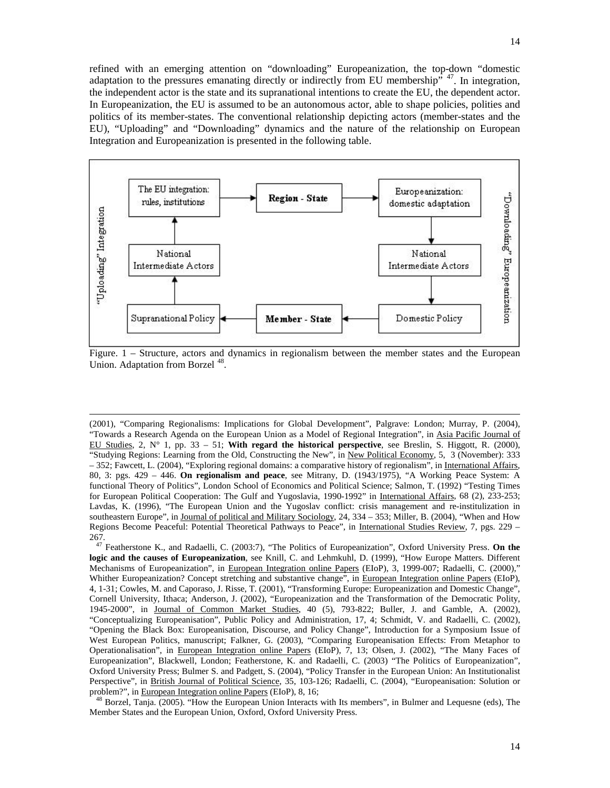

Figure. 1 – Structure, actors and dynamics in regionalism between the member states and the European Union. Adaptation from Borzel<sup>[48](#page-13-1)</sup>.

-

<sup>(2001), &</sup>quot;Comparing Regionalisms: Implications for Global Development", Palgrave: London; Murray, P. (2004), "Towards a Research Agenda on the European Union as a Model of Regional Integration", in Asia Pacific Journal of EU Studies,  $2, N^{\circ}$  1, pp.  $33 - 51$ ; **With regard the historical perspective**, see Breslin, S. Higgott, R. (2000), "Studying Regions: Learning from the Old, Constructing the New", in New Political Economy, 5, 3 (November): 333 – 352; Fawcett, L. (2004), "Exploring regional domains: a comparative history of regionalism", in International Affairs, 80, 3: pgs. 429 – 446. **On regionalism and peace**, see Mitrany, D. (1943/1975), "A Working Peace System: A functional Theory of Politics", London School of Economics and Political Science; Salmon, T. (1992) "Testing Times for European Political Cooperation: The Gulf and Yugoslavia, 1990-1992" in International Affairs, 68 (2), 233-253; Lavdas, K. (1996), "The European Union and the Yugoslav conflict: crisis management and re-institulization in southeastern Europe", in Journal of political and Military Sociology, 24, 334 – 353; Miller, B. (2004), "When and How Regions Become Peaceful: Potential Theoretical Pathways to Peace", in International Studies Review, 7, pgs. 229 – 267.

<span id="page-13-0"></span><sup>47</sup> Featherstone K., and Radaelli, C. (2003:7), "The Politics of Europeanization", Oxford University Press. **On the logic and the causes of Europeanization**, see Knill, C. and Lehmkuhl, D. (1999), "How Europe Matters. Different Mechanisms of Europeanization", in European Integration online Papers (EIoP), 3, 1999-007; Radaelli, C. (2000)," Whither Europeanization? Concept stretching and substantive change", in European Integration online Papers (EIoP), 4, 1-31; Cowles, M. and Caporaso, J. Risse, T. (2001), "Transforming Europe: Europeanization and Domestic Change", Cornell University, Ithaca; Anderson, J. (2002), "Europeanization and the Transformation of the Democratic Polity, 1945-2000", in Journal of Common Market Studies, 40 (5), 793-822; Buller, J. and Gamble, A. (2002), "Conceptualizing Europeanisation", Public Policy and Administration, 17, 4; Schmidt, V. and Radaelli, C. (2002), "Opening the Black Box: Europeanisation, Discourse, and Policy Change", Introduction for a Symposium Issue of West European Politics, manuscript; Falkner, G. (2003), "Comparing Europeanisation Effects: From Metaphor to Operationalisation", in European Integration online Papers (EIoP), 7, 13; Olsen, J. (2002), "The Many Faces of Europeanization", Blackwell, London; Featherstone, K. and Radaelli, C. (2003) "The Politics of Europeanization", Oxford University Press; Bulmer S. and Padgett, S. (2004), "Policy Transfer in the European Union: An Institutionalist Perspective", in British Journal of Political Science, 35, 103-126; Radaelli, C. (2004), "Europeanisation: Solution or problem?", in European Integration online Papers (EIoP), 8, 16;

<span id="page-13-1"></span><sup>48</sup> Borzel, Tanja. (2005). "How the European Union Interacts with Its members", in Bulmer and Lequesne (eds), The Member States and the European Union, Oxford, Oxford University Press.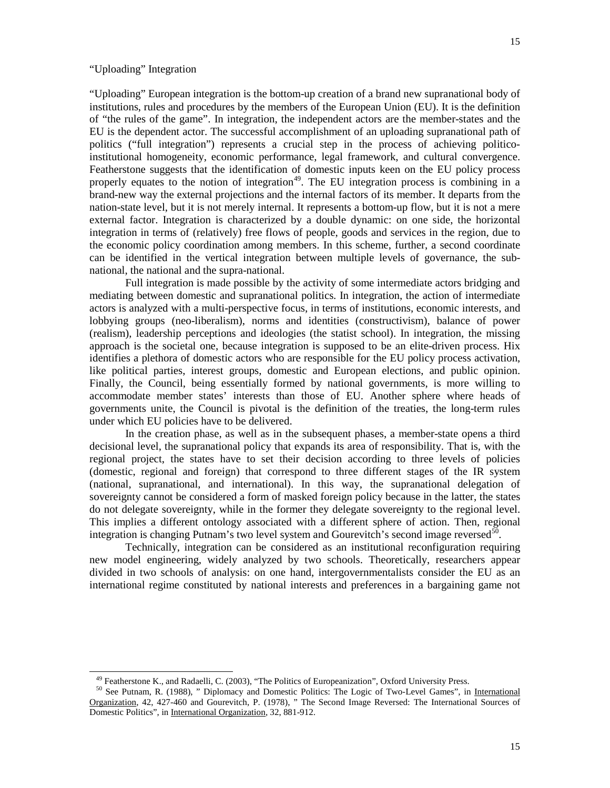# "Uploading" Integration

l

"Uploading" European integration is the bottom-up creation of a brand new supranational body of institutions, rules and procedures by the members of the European Union (EU). It is the definition of "the rules of the game". In integration, the independent actors are the member-states and the EU is the dependent actor. The successful accomplishment of an uploading supranational path of politics ("full integration") represents a crucial step in the process of achieving politicoinstitutional homogeneity, economic performance, legal framework, and cultural convergence. Featherstone suggests that the identification of domestic inputs keen on the EU policy process properly equates to the notion of integration<sup>[49](#page-14-0)</sup>. The EU integration process is combining in a brand-new way the external projections and the internal factors of its member. It departs from the nation-state level, but it is not merely internal. It represents a bottom-up flow, but it is not a mere external factor. Integration is characterized by a double dynamic: on one side, the horizontal integration in terms of (relatively) free flows of people, goods and services in the region, due to the economic policy coordination among members. In this scheme, further, a second coordinate can be identified in the vertical integration between multiple levels of governance, the subnational, the national and the supra-national.

Full integration is made possible by the activity of some intermediate actors bridging and mediating between domestic and supranational politics. In integration, the action of intermediate actors is analyzed with a multi-perspective focus, in terms of institutions, economic interests, and lobbying groups (neo-liberalism), norms and identities (constructivism), balance of power (realism), leadership perceptions and ideologies (the statist school). In integration, the missing approach is the societal one, because integration is supposed to be an elite-driven process. Hix identifies a plethora of domestic actors who are responsible for the EU policy process activation, like political parties, interest groups, domestic and European elections, and public opinion. Finally, the Council, being essentially formed by national governments, is more willing to accommodate member states' interests than those of EU. Another sphere where heads of governments unite, the Council is pivotal is the definition of the treaties, the long-term rules under which EU policies have to be delivered.

In the creation phase, as well as in the subsequent phases, a member-state opens a third decisional level, the supranational policy that expands its area of responsibility. That is, with the regional project, the states have to set their decision according to three levels of policies (domestic, regional and foreign) that correspond to three different stages of the IR system (national, supranational, and international). In this way, the supranational delegation of sovereignty cannot be considered a form of masked foreign policy because in the latter, the states do not delegate sovereignty, while in the former they delegate sovereignty to the regional level. This implies a different ontology associated with a different sphere of action. Then, regional integration is changing Putnam's two level system and Gourevitch's second image reversed<sup>[50](#page-14-1)</sup>.

Technically, integration can be considered as an institutional reconfiguration requiring new model engineering, widely analyzed by two schools. Theoretically, researchers appear divided in two schools of analysis: on one hand, intergovernmentalists consider the EU as an international regime constituted by national interests and preferences in a bargaining game not

<sup>49</sup> Featherstone K., and Radaelli, C. (2003), "The Politics of Europeanization", Oxford University Press.

<span id="page-14-1"></span><span id="page-14-0"></span><sup>50</sup> See Putnam, R. (1988), " Diplomacy and Domestic Politics: The Logic of Two-Level Games", in International Organization, 42, 427-460 and Gourevitch, P. (1978), " The Second Image Reversed: The International Sources of Domestic Politics", in International Organization, 32, 881-912.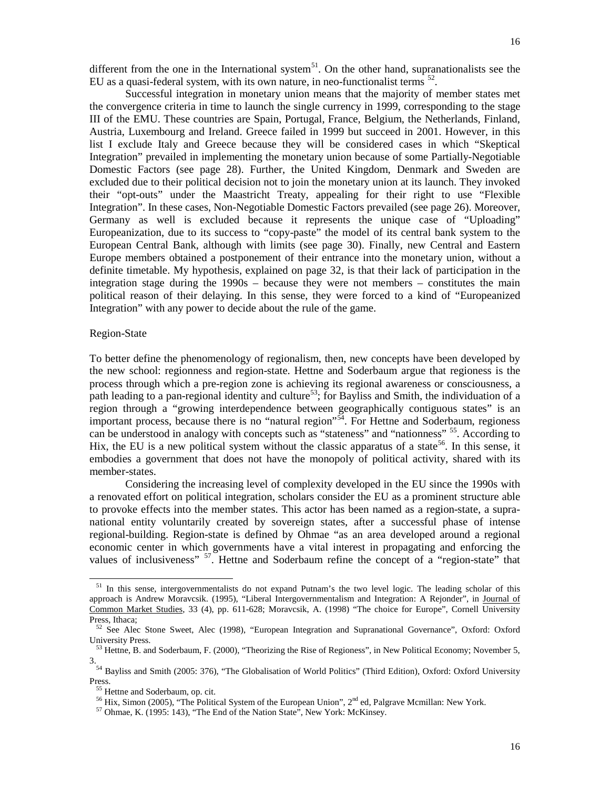different from the one in the International system<sup>51</sup>. On the other hand, supranationalists see the EU as a quasi-federal system, with its own nature, in neo-functionalist terms  $^{52}$  $^{52}$  $^{52}$ .

Successful integration in monetary union means that the majority of member states met the convergence criteria in time to launch the single currency in 1999, corresponding to the stage III of the EMU. These countries are Spain, Portugal, France, Belgium, the Netherlands, Finland, Austria, Luxembourg and Ireland. Greece failed in 1999 but succeed in 2001. However, in this list I exclude Italy and Greece because they will be considered cases in which "Skeptical Integration" prevailed in implementing the monetary union because of some Partially-Negotiable Domestic Factors (see page 28). Further, the United Kingdom, Denmark and Sweden are excluded due to their political decision not to join the monetary union at its launch. They invoked their "opt-outs" under the Maastricht Treaty, appealing for their right to use "Flexible Integration". In these cases, Non-Negotiable Domestic Factors prevailed (see page 26). Moreover, Germany as well is excluded because it represents the unique case of "Uploading" Europeanization, due to its success to "copy-paste" the model of its central bank system to the European Central Bank, although with limits (see page 30). Finally, new Central and Eastern Europe members obtained a postponement of their entrance into the monetary union, without a definite timetable. My hypothesis, explained on page 32, is that their lack of participation in the integration stage during the 1990s – because they were not members – constitutes the main political reason of their delaying. In this sense, they were forced to a kind of "Europeanized Integration" with any power to decide about the rule of the game.

## Region-State

j

To better define the phenomenology of regionalism, then, new concepts have been developed by the new school: regionness and region-state. Hettne and Soderbaum argue that regioness is the process through which a pre-region zone is achieving its regional awareness or consciousness, a path leading to a pan-regional identity and culture<sup>53</sup>; for Bayliss and Smith, the individuation of a region through a "growing interdependence between geographically contiguous states" is an important process, because there is no "natural region"<sup>54</sup>. For Hettne and Soderbaum, regioness can be understood in analogy with concepts such as "stateness" and "nationness" [55.](#page-15-4) According to Hix, the EU is a new political system without the classic apparatus of a state<sup>[56](#page-15-5)</sup>. In this sense, it embodies a government that does not have the monopoly of political activity, shared with its member-states.

Considering the increasing level of complexity developed in the EU since the 1990s with a renovated effort on political integration, scholars consider the EU as a prominent structure able to provoke effects into the member states. This actor has been named as a region-state, a supranational entity voluntarily created by sovereign states, after a successful phase of intense regional-building. Region-state is defined by Ohmae "as an area developed around a regional economic center in which governments have a vital interest in propagating and enforcing the values of inclusiveness" <sup>[57](#page-15-6)</sup>. Hettne and Soderbaum refine the concept of a "region-state" that

<span id="page-15-0"></span><sup>&</sup>lt;sup>51</sup> In this sense, intergovernmentalists do not expand Putnam's the two level logic. The leading scholar of this approach is Andrew Moravcsik. (1995), "Liberal Intergovernmentalism and Integration: A Rejonder", in Journal of Common Market Studies, 33 (4), pp. 611-628; Moravcsik, A. (1998) "The choice for Europe", Cornell University Press, Ithaca;

<span id="page-15-1"></span><sup>&</sup>lt;sup>52</sup> See Alec Stone Sweet, Alec (1998), "European Integration and Supranational Governance", Oxford: Oxford University Press.

<span id="page-15-2"></span><sup>&</sup>lt;sup>53</sup> Hettne, B. and Soderbaum, F. (2000), "Theorizing the Rise of Regioness", in New Political Economy; November 5, 3.

<span id="page-15-5"></span><span id="page-15-4"></span><span id="page-15-3"></span><sup>54</sup> Bayliss and Smith (2005: 376), "The Globalisation of World Politics" (Third Edition), Oxford: Oxford University Press.

<sup>&</sup>lt;sup>55</sup> Hettne and Soderbaum, op. cit.

<sup>&</sup>lt;sup>56</sup> Hix, Simon (2005), "The Political System of the European Union", 2<sup>nd</sup> ed, Palgrave Mcmillan: New York.

<span id="page-15-6"></span><sup>57</sup> Ohmae, K. (1995: 143), "The End of the Nation State", New York: McKinsey.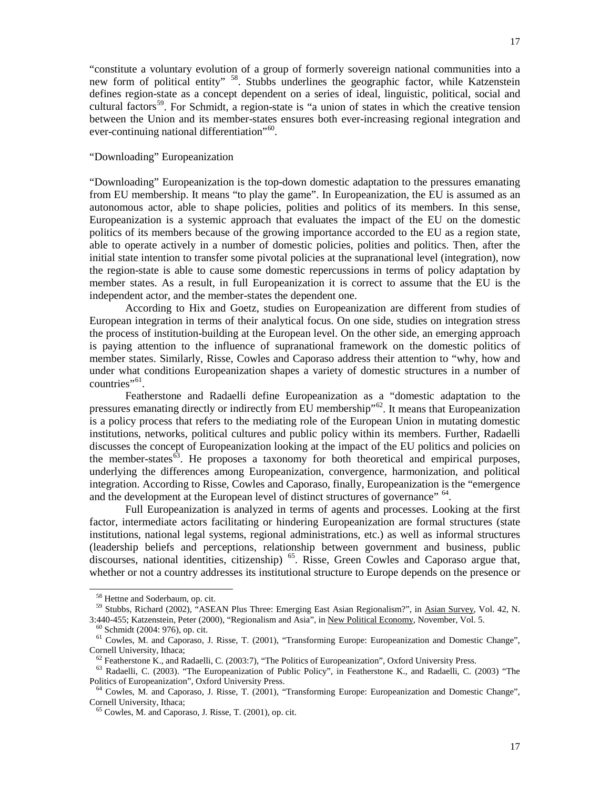"constitute a voluntary evolution of a group of formerly sovereign national communities into a new form of political entity" <sup>58</sup>. Stubbs underlines the geographic factor, while Katzenstein defines region-state as a concept dependent on a series of ideal, linguistic, political, social and cultural factors<sup>59</sup>. For Schmidt, a region-state is "a union of states in which the creative tension between the Union and its member-states ensures both ever-increasing regional integration and ever-continuing national differentiation"<sup>[60](#page-16-2)</sup>.

# "Downloading" Europeanization

"Downloading" Europeanization is the top-down domestic adaptation to the pressures emanating from EU membership. It means "to play the game". In Europeanization, the EU is assumed as an autonomous actor, able to shape policies, polities and politics of its members. In this sense, Europeanization is a systemic approach that evaluates the impact of the EU on the domestic politics of its members because of the growing importance accorded to the EU as a region state, able to operate actively in a number of domestic policies, polities and politics. Then, after the initial state intention to transfer some pivotal policies at the supranational level (integration), now the region-state is able to cause some domestic repercussions in terms of policy adaptation by member states. As a result, in full Europeanization it is correct to assume that the EU is the independent actor, and the member-states the dependent one.

According to Hix and Goetz, studies on Europeanization are different from studies of European integration in terms of their analytical focus. On one side, studies on integration stress the process of institution-building at the European level. On the other side, an emerging approach is paying attention to the influence of supranational framework on the domestic politics of member states. Similarly, Risse, Cowles and Caporaso address their attention to "why, how and under what conditions Europeanization shapes a variety of domestic structures in a number of countries"<sup>[61](#page-16-3)</sup>.

Featherstone and Radaelli define Europeanization as a "domestic adaptation to the pressures emanating directly or indirectly from EU membership"<sup>[62](#page-16-4)</sup>. It means that Europeanization is a policy process that refers to the mediating role of the European Union in mutating domestic institutions, networks, political cultures and public policy within its members. Further, Radaelli discusses the concept of Europeanization looking at the impact of the EU politics and policies on the member-states<sup>63</sup>. He proposes a taxonomy for both theoretical and empirical purposes, underlying the differences among Europeanization, convergence, harmonization, and political integration. According to Risse, Cowles and Caporaso, finally, Europeanization is the "emergence and the development at the European level of distinct structures of governance" <sup>[64](#page-16-6)</sup>.

Full Europeanization is analyzed in terms of agents and processes. Looking at the first factor, intermediate actors facilitating or hindering Europeanization are formal structures (state institutions, national legal systems, regional administrations, etc.) as well as informal structures (leadership beliefs and perceptions, relationship between government and business, public discourses, national identities, citizenship)<sup>[65](#page-16-7)</sup>. Risse, Green Cowles and Caporaso argue that, whether or not a country addresses its institutional structure to Europe depends on the presence or

-

<sup>58</sup> Hettne and Soderbaum, op. cit.

<span id="page-16-1"></span><span id="page-16-0"></span><sup>59</sup> Stubbs, Richard (2002), "ASEAN Plus Three: Emerging East Asian Regionalism?", in Asian Survey, Vol. 42, N. 3:440-455; Katzenstein, Peter (2000), "Regionalism and Asia", in New Political Economy, November, Vol. 5.

<sup>60</sup> Schmidt (2004: 976), op. cit.

<span id="page-16-3"></span><span id="page-16-2"></span><sup>61</sup> Cowles, M. and Caporaso, J. Risse, T. (2001), "Transforming Europe: Europeanization and Domestic Change", Cornell University, Ithaca;

 $^{62}$  Featherstone K., and Radaelli, C. (2003:7), "The Politics of Europeanization", Oxford University Press.

<span id="page-16-5"></span><span id="page-16-4"></span><sup>&</sup>lt;sup>63</sup> Radaelli, C. (2003). "The Europeanization of Public Policy", in Featherstone K., and Radaelli, C. (2003) "The Politics of Europeanization", Oxford University Press.

<span id="page-16-7"></span><span id="page-16-6"></span><sup>64</sup> Cowles, M. and Caporaso, J. Risse, T. (2001), "Transforming Europe: Europeanization and Domestic Change", Cornell University, Ithaca;

<sup>65</sup> Cowles, M. and Caporaso, J. Risse, T. (2001), op. cit.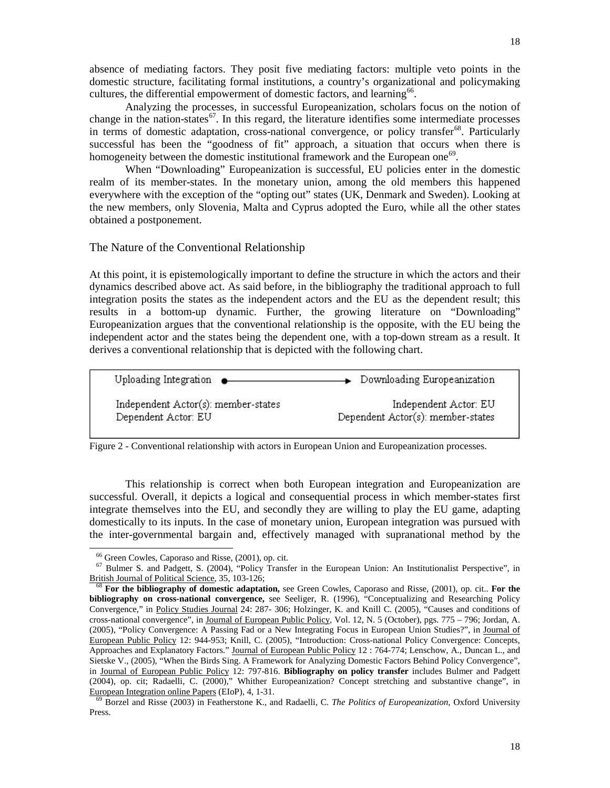absence of mediating factors. They posit five mediating factors: multiple veto points in the domestic structure, facilitating formal institutions, a country's organizational and policymaking cultures, the differential empowerment of domestic factors, and learning<sup>[66](#page-17-0)</sup>.

Analyzing the processes, in successful Europeanization, scholars focus on the notion of change in the nation-states<sup>67</sup>. In this regard, the literature identifies some intermediate processes in terms of domestic adaptation, cross-national convergence, or policy transfer<sup>[68](#page-17-2)</sup>. Particularly successful has been the "goodness of fit" approach, a situation that occurs when there is homogeneity between the domestic institutional framework and the European one<sup>[69](#page-17-3)</sup>.

When "Downloading" Europeanization is successful, EU policies enter in the domestic realm of its member-states. In the monetary union, among the old members this happened everywhere with the exception of the "opting out" states (UK, Denmark and Sweden). Looking at the new members, only Slovenia, Malta and Cyprus adopted the Euro, while all the other states obtained a postponement.

The Nature of the Conventional Relationship

At this point, it is epistemologically important to define the structure in which the actors and their dynamics described above act. As said before, in the bibliography the traditional approach to full integration posits the states as the independent actors and the EU as the dependent result; this results in a bottom-up dynamic. Further, the growing literature on "Downloading" Europeanization argues that the conventional relationship is the opposite, with the EU being the independent actor and the states being the dependent one, with a top-down stream as a result. It derives a conventional relationship that is depicted with the following chart.

| Uploading Integration $\bullet$     | > Downloading Europeanization     |
|-------------------------------------|-----------------------------------|
| Independent Actor(s): member-states | Independent Actor: EU             |
| Dependent Actor: EU                 | Dependent Actor(s): member-states |

Figure 2 - Conventional relationship with actors in European Union and Europeanization processes.

This relationship is correct when both European integration and Europeanization are successful. Overall, it depicts a logical and consequential process in which member-states first integrate themselves into the EU, and secondly they are willing to play the EU game, adapting domestically to its inputs. In the case of monetary union, European integration was pursued with the inter-governmental bargain and, effectively managed with supranational method by the

j

<sup>66</sup> Green Cowles, Caporaso and Risse, (2001), op. cit.

<span id="page-17-1"></span><span id="page-17-0"></span><sup>67</sup> Bulmer S. and Padgett, S. (2004), "Policy Transfer in the European Union: An Institutionalist Perspective", in British Journal of Political Science, 35, 103-126;

<span id="page-17-2"></span><sup>68</sup> **For the bibliography of domestic adaptation,** see Green Cowles, Caporaso and Risse, (2001), op. cit.. **For the bibliography on cross-national convergence,** see Seeliger, R. (1996), "Conceptualizing and Researching Policy Convergence," in Policy Studies Journal 24: 287- 306; Holzinger, K. and Knill C. (2005), "Causes and conditions of cross-national convergence", in Journal of European Public Policy*,* Vol. 12, N. 5 (October), pgs. 775 – 796; Jordan, A. (2005), "Policy Convergence: A Passing Fad or a New Integrating Focus in European Union Studies?", in Journal of European Public Policy 12: 944-953; Knill, C. (2005), "Introduction: Cross-national Policy Convergence: Concepts, Approaches and Explanatory Factors." Journal of European Public Policy 12: 764-774; Lenschow, A., Duncan L., and Sietske V., (2005), "When the Birds Sing. A Framework for Analyzing Domestic Factors Behind Policy Convergence", in Journal of European Public Policy 12: 797-816. **Bibliography on policy transfer** includes Bulmer and Padgett (2004), op. cit; Radaelli, C. (2000)," Whither Europeanization? Concept stretching and substantive change", in European Integration online Papers (EIoP), 4, 1-31.

<span id="page-17-3"></span><sup>69</sup> Borzel and Risse (2003) in Featherstone K., and Radaelli, C. *The Politics of Europeanization*, Oxford University Press.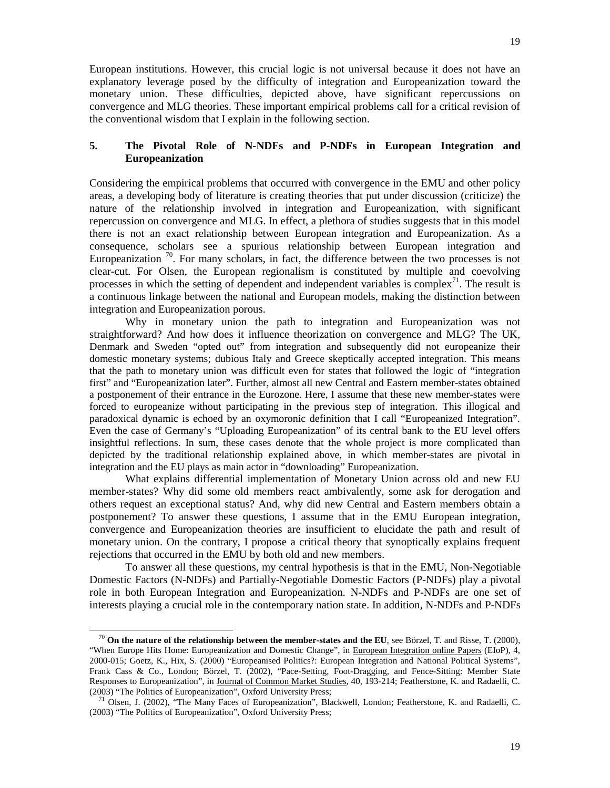European institutions. However, this crucial logic is not universal because it does not have an explanatory leverage posed by the difficulty of integration and Europeanization toward the monetary union. These difficulties, depicted above, have significant repercussions on convergence and MLG theories. These important empirical problems call for a critical revision of the conventional wisdom that I explain in the following section.

# **5. The Pivotal Role of N-NDFs and P-NDFs in European Integration and Europeanization**

Considering the empirical problems that occurred with convergence in the EMU and other policy areas, a developing body of literature is creating theories that put under discussion (criticize) the nature of the relationship involved in integration and Europeanization, with significant repercussion on convergence and MLG. In effect, a plethora of studies suggests that in this model there is not an exact relationship between European integration and Europeanization. As a consequence, scholars see a spurious relationship between European integration and Europeanization  $\frac{70}{2}$  $\frac{70}{2}$  $\frac{70}{2}$ . For many scholars, in fact, the difference between the two processes is not clear-cut. For Olsen, the European regionalism is constituted by multiple and coevolving processes in which the setting of dependent and independent variables is complex<sup>[71](#page-18-1)</sup>. The result is a continuous linkage between the national and European models, making the distinction between integration and Europeanization porous.

Why in monetary union the path to integration and Europeanization was not straightforward? And how does it influence theorization on convergence and MLG? The UK, Denmark and Sweden "opted out" from integration and subsequently did not europeanize their domestic monetary systems; dubious Italy and Greece skeptically accepted integration. This means that the path to monetary union was difficult even for states that followed the logic of "integration first" and "Europeanization later". Further, almost all new Central and Eastern member-states obtained a postponement of their entrance in the Eurozone. Here, I assume that these new member-states were forced to europeanize without participating in the previous step of integration. This illogical and paradoxical dynamic is echoed by an oxymoronic definition that I call "Europeanized Integration". Even the case of Germany's "Uploading Europeanization" of its central bank to the EU level offers insightful reflections. In sum, these cases denote that the whole project is more complicated than depicted by the traditional relationship explained above, in which member-states are pivotal in integration and the EU plays as main actor in "downloading" Europeanization.

What explains differential implementation of Monetary Union across old and new EU member-states? Why did some old members react ambivalently, some ask for derogation and others request an exceptional status? And, why did new Central and Eastern members obtain a postponement? To answer these questions, I assume that in the EMU European integration, convergence and Europeanization theories are insufficient to elucidate the path and result of monetary union. On the contrary, I propose a critical theory that synoptically explains frequent rejections that occurred in the EMU by both old and new members.

To answer all these questions, my central hypothesis is that in the EMU, Non-Negotiable Domestic Factors (N-NDFs) and Partially-Negotiable Domestic Factors (P-NDFs) play a pivotal role in both European Integration and Europeanization. N-NDFs and P-NDFs are one set of interests playing a crucial role in the contemporary nation state. In addition, N-NDFs and P-NDFs

<span id="page-18-0"></span> <sup>70</sup> **On the nature of the relationship between the member-states and the EU**, see Börzel, T. and Risse, T. (2000), "When Europe Hits Home: Europeanization and Domestic Change", in European Integration online Papers (EIoP), 4, 2000-015; Goetz, K., Hix, S. (2000) "Europeanised Politics?: European Integration and National Political Systems", Frank Cass & Co., London; Börzel, T. (2002), "Pace-Setting, Foot-Dragging, and Fence-Sitting: Member State Responses to Europeanization", in Journal of Common Market Studies, 40, 193-214; Featherstone, K. and Radaelli, C. (2003) "The Politics of Europeanization", Oxford University Press;

<span id="page-18-1"></span><sup>&</sup>lt;sup>71</sup> Olsen, J. (2002), "The Many Faces of Europeanization", Blackwell, London; Featherstone, K. and Radaelli, C. (2003) "The Politics of Europeanization", Oxford University Press;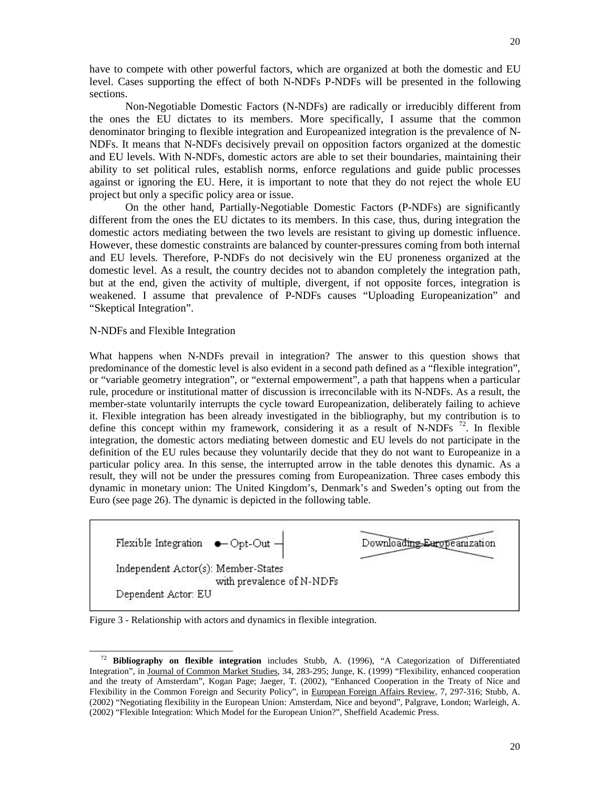Non-Negotiable Domestic Factors (N-NDFs) are radically or irreducibly different from the ones the EU dictates to its members. More specifically, I assume that the common denominator bringing to flexible integration and Europeanized integration is the prevalence of N-NDFs. It means that N-NDFs decisively prevail on opposition factors organized at the domestic and EU levels. With N-NDFs, domestic actors are able to set their boundaries, maintaining their ability to set political rules, establish norms, enforce regulations and guide public processes against or ignoring the EU. Here, it is important to note that they do not reject the whole EU project but only a specific policy area or issue.

On the other hand, Partially-Negotiable Domestic Factors (P-NDFs) are significantly different from the ones the EU dictates to its members. In this case, thus, during integration the domestic actors mediating between the two levels are resistant to giving up domestic influence. However, these domestic constraints are balanced by counter-pressures coming from both internal and EU levels. Therefore, P-NDFs do not decisively win the EU proneness organized at the domestic level. As a result, the country decides not to abandon completely the integration path, but at the end, given the activity of multiple, divergent, if not opposite forces, integration is weakened. I assume that prevalence of P-NDFs causes "Uploading Europeanization" and "Skeptical Integration".

# N-NDFs and Flexible Integration

l

What happens when N-NDFs prevail in integration? The answer to this question shows that predominance of the domestic level is also evident in a second path defined as a "flexible integration", or "variable geometry integration", or "external empowerment", a path that happens when a particular rule, procedure or institutional matter of discussion is irreconcilable with its N-NDFs. As a result, the member-state voluntarily interrupts the cycle toward Europeanization, deliberately failing to achieve it. Flexible integration has been already investigated in the bibliography, but my contribution is to define this concept within my framework, considering it as a result of N-NDFs  $^{72}$  $^{72}$  $^{72}$ . In flexible integration, the domestic actors mediating between domestic and EU levels do not participate in the definition of the EU rules because they voluntarily decide that they do not want to Europeanize in a particular policy area. In this sense, the interrupted arrow in the table denotes this dynamic. As a result, they will not be under the pressures coming from Europeanization. Three cases embody this dynamic in monetary union: The United Kingdom's, Denmark's and Sweden's opting out from the Euro (see page 26). The dynamic is depicted in the following table.



Figure 3 - Relationship with actors and dynamics in flexible integration.

<span id="page-19-0"></span><sup>72</sup> **Bibliography on flexible integration** includes Stubb, A. (1996), "A Categorization of Differentiated Integration", in Journal of Common Market Studies, 34, 283-295; Junge, K. (1999) "Flexibility, enhanced cooperation and the treaty of Amsterdam", Kogan Page; Jaeger, T. (2002), "Enhanced Cooperation in the Treaty of Nice and Flexibility in the Common Foreign and Security Policy", in European Foreign Affairs Review, 7, 297-316; Stubb, A. (2002) "Negotiating flexibility in the European Union: Amsterdam, Nice and beyond", Palgrave, London; Warleigh, A. (2002) "Flexible Integration: Which Model for the European Union?", Sheffield Academic Press.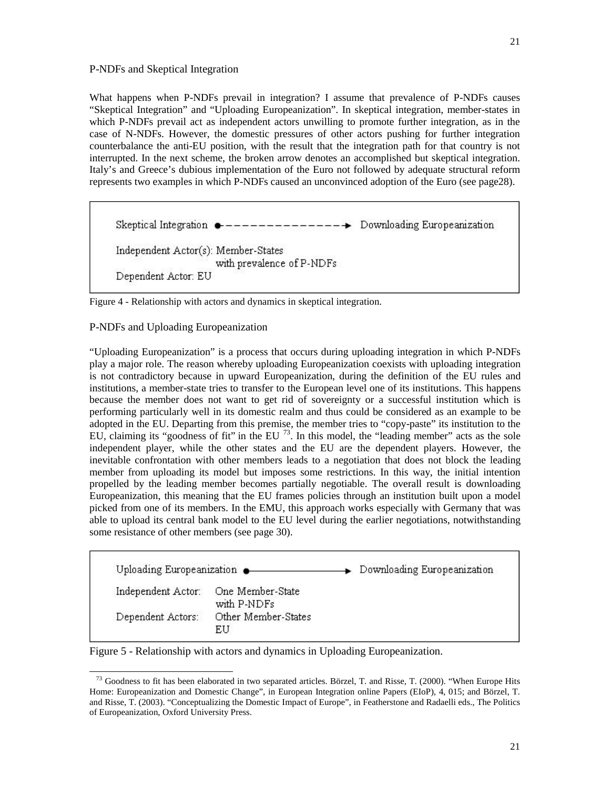# P-NDFs and Skeptical Integration

What happens when P-NDFs prevail in integration? I assume that prevalence of P-NDFs causes "Skeptical Integration" and "Uploading Europeanization". In skeptical integration, member-states in which P-NDFs prevail act as independent actors unwilling to promote further integration, as in the case of N-NDFs. However, the domestic pressures of other actors pushing for further integration counterbalance the anti-EU position, with the result that the integration path for that country is not interrupted. In the next scheme, the broken arrow denotes an accomplished but skeptical integration. Italy's and Greece's dubious implementation of the Euro not followed by adequate structural reform represents two examples in which P-NDFs caused an unconvinced adoption of the Euro (see page28).

Skeptical Integration  $\bullet$  --------------- Downloading Europeanization Independent Actor(s): Member-States with prevalence of P-NDFs Dependent Actor: EU

Figure 4 - Relationship with actors and dynamics in skeptical integration.

# P-NDFs and Uploading Europeanization

"Uploading Europeanization" is a process that occurs during uploading integration in which P-NDFs play a major role. The reason whereby uploading Europeanization coexists with uploading integration is not contradictory because in upward Europeanization, during the definition of the EU rules and institutions, a member-state tries to transfer to the European level one of its institutions. This happens because the member does not want to get rid of sovereignty or a successful institution which is performing particularly well in its domestic realm and thus could be considered as an example to be adopted in the EU. Departing from this premise, the member tries to "copy-paste" its institution to the EU, claiming its "goodness of fit" in the EU  $^{73}$  $^{73}$  $^{73}$ . In this model, the "leading member" acts as the sole independent player, while the other states and the EU are the dependent players. However, the inevitable confrontation with other members leads to a negotiation that does not block the leading member from uploading its model but imposes some restrictions. In this way, the initial intention propelled by the leading member becomes partially negotiable. The overall result is downloading Europeanization, this meaning that the EU frames policies through an institution built upon a model picked from one of its members. In the EMU, this approach works especially with Germany that was able to upload its central bank model to the EU level during the earlier negotiations, notwithstanding some resistance of other members (see page 30).

| Uploading Europeanization . |                                 | > Downloading Europeanization |
|-----------------------------|---------------------------------|-------------------------------|
| Independent Actor:          | One Member-State<br>with P-NDFs |                               |
| Dependent Actors:           | Other Member-States<br>EU       |                               |

Figure 5 - Relationship with actors and dynamics in Uploading Europeanization.

<span id="page-20-0"></span>l  $^{73}$  Goodness to fit has been elaborated in two separated articles. Börzel, T. and Risse, T. (2000). "When Europe Hits Home: Europeanization and Domestic Change", in European Integration online Papers (EIoP), 4, 015; and Börzel, T. and Risse, T. (2003). "Conceptualizing the Domestic Impact of Europe", in Featherstone and Radaelli eds., The Politics of Europeanization, Oxford University Press.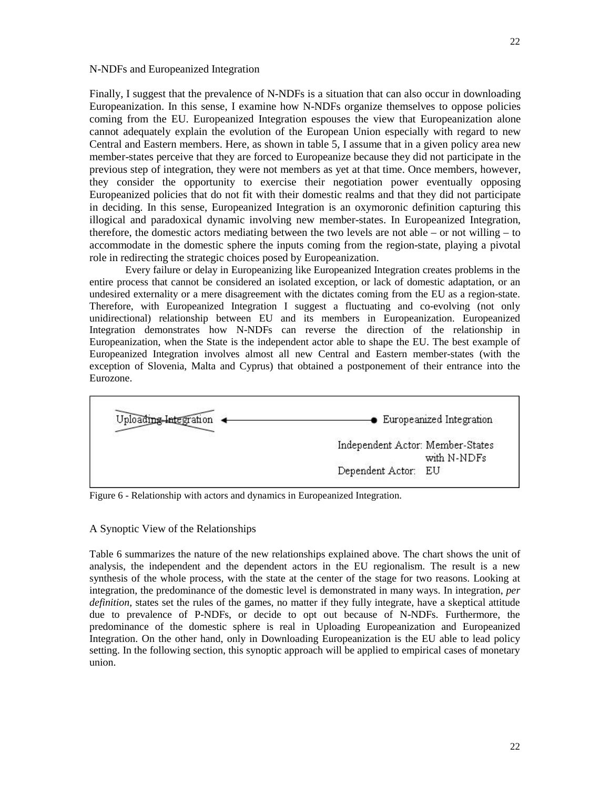#### N-NDFs and Europeanized Integration

Finally, I suggest that the prevalence of N-NDFs is a situation that can also occur in downloading Europeanization. In this sense, I examine how N-NDFs organize themselves to oppose policies coming from the EU. Europeanized Integration espouses the view that Europeanization alone cannot adequately explain the evolution of the European Union especially with regard to new Central and Eastern members. Here, as shown in table 5, I assume that in a given policy area new member-states perceive that they are forced to Europeanize because they did not participate in the previous step of integration, they were not members as yet at that time. Once members, however, they consider the opportunity to exercise their negotiation power eventually opposing Europeanized policies that do not fit with their domestic realms and that they did not participate in deciding. In this sense, Europeanized Integration is an oxymoronic definition capturing this illogical and paradoxical dynamic involving new member-states. In Europeanized Integration, therefore, the domestic actors mediating between the two levels are not able – or not willing – to accommodate in the domestic sphere the inputs coming from the region-state, playing a pivotal role in redirecting the strategic choices posed by Europeanization.

Every failure or delay in Europeanizing like Europeanized Integration creates problems in the entire process that cannot be considered an isolated exception, or lack of domestic adaptation, or an undesired externality or a mere disagreement with the dictates coming from the EU as a region-state. Therefore, with Europeanized Integration I suggest a fluctuating and co-evolving (not only unidirectional) relationship between EU and its members in Europeanization. Europeanized Integration demonstrates how N-NDFs can reverse the direction of the relationship in Europeanization, when the State is the independent actor able to shape the EU. The best example of Europeanized Integration involves almost all new Central and Eastern member-states (with the exception of Slovenia, Malta and Cyprus) that obtained a postponement of their entrance into the Eurozone.



Figure 6 - Relationship with actors and dynamics in Europeanized Integration.

#### A Synoptic View of the Relationships

Table 6 summarizes the nature of the new relationships explained above. The chart shows the unit of analysis, the independent and the dependent actors in the EU regionalism. The result is a new synthesis of the whole process, with the state at the center of the stage for two reasons. Looking at integration, the predominance of the domestic level is demonstrated in many ways. In integration, *per definition*, states set the rules of the games, no matter if they fully integrate, have a skeptical attitude due to prevalence of P-NDFs, or decide to opt out because of N-NDFs. Furthermore, the predominance of the domestic sphere is real in Uploading Europeanization and Europeanized Integration. On the other hand, only in Downloading Europeanization is the EU able to lead policy setting. In the following section, this synoptic approach will be applied to empirical cases of monetary union.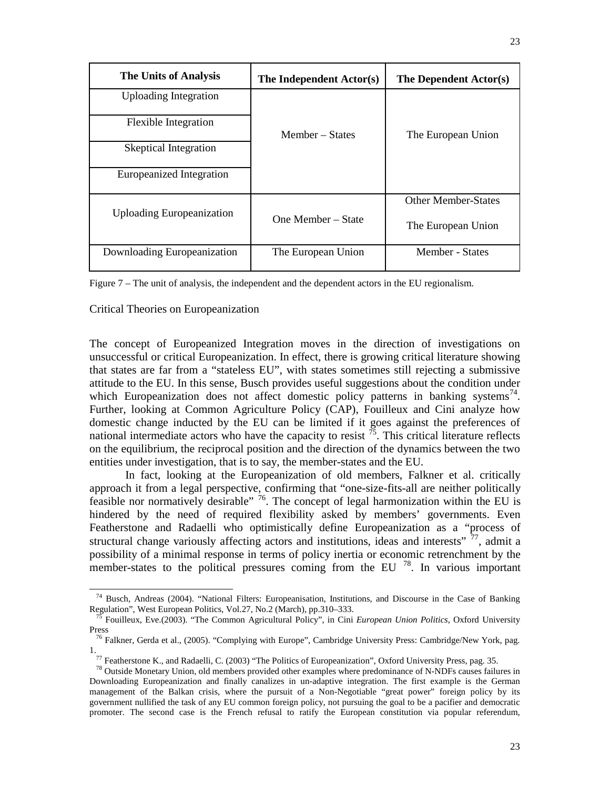| <b>The Units of Analysis</b>     | The Independent Actor(s) | The Dependent Actor(s)     |  |
|----------------------------------|--------------------------|----------------------------|--|
| <b>Uploading Integration</b>     |                          |                            |  |
| <b>Flexible Integration</b>      | Member – States          | The European Union         |  |
| <b>Skeptical Integration</b>     |                          |                            |  |
| Europeanized Integration         |                          |                            |  |
| <b>Uploading Europeanization</b> |                          | <b>Other Member-States</b> |  |
|                                  | One Member - State       | The European Union         |  |
| Downloading Europeanization      | The European Union       | Member - States            |  |

Figure 7 – The unit of analysis, the independent and the dependent actors in the EU regionalism.

Critical Theories on Europeanization

-

The concept of Europeanized Integration moves in the direction of investigations on unsuccessful or critical Europeanization. In effect, there is growing critical literature showing that states are far from a "stateless EU", with states sometimes still rejecting a submissive attitude to the EU. In this sense, Busch provides useful suggestions about the condition under which Europeanization does not affect domestic policy patterns in banking systems<sup>[74](#page-22-0)</sup>. Further, looking at Common Agriculture Policy (CAP), Fouilleux and Cini analyze how domestic change inducted by the EU can be limited if it goes against the preferences of national intermediate actors who have the capacity to resist  $<sup>75</sup>$  $<sup>75</sup>$  $<sup>75</sup>$ . This critical literature reflects</sup> on the equilibrium, the reciprocal position and the direction of the dynamics between the two entities under investigation, that is to say, the member-states and the EU.

In fact, looking at the Europeanization of old members, Falkner et al. critically approach it from a legal perspective, confirming that "one-size-fits-all are neither politically feasible nor normatively desirable" <sup>76</sup>. The concept of legal harmonization within the EU is hindered by the need of required flexibility asked by members' governments. Even Featherstone and Radaelli who optimistically define Europeanization as a "process of structural change variously affecting actors and institutions, ideas and interests"  $^{77}$  $^{77}$  $^{77}$ , admit a possibility of a minimal response in terms of policy inertia or economic retrenchment by the member-states to the political pressures coming from the EU  $^{78}$  $^{78}$  $^{78}$ . In various important

<span id="page-22-0"></span><sup>74</sup> Busch, Andreas (2004). "National Filters: Europeanisation, Institutions, and Discourse in the Case of Banking Regulation", West European Politics, Vol.27, No.2 (March), pp.310–333.

<sup>75</sup> Fouilleux, Eve.(2003). "The Common Agricultural Policy", in Cini *European Union Politics*, Oxford University Press

<sup>&</sup>lt;sup>76</sup> Falkner, Gerda et al., (2005). "Complying with Europe", Cambridge University Press: Cambridge/New York, pag. 1.

<sup>77</sup> Featherstone K., and Radaelli, C. (2003) "The Politics of Europeanization", Oxford University Press, pag. 35.

<sup>78</sup> Outside Monetary Union, old members provided other examples where predominance of N-NDFs causes failures in Downloading Europeanization and finally canalizes in un-adaptive integration. The first example is the German management of the Balkan crisis, where the pursuit of a Non-Negotiable "great power" foreign policy by its government nullified the task of any EU common foreign policy, not pursuing the goal to be a pacifier and democratic promoter. The second case is the French refusal to ratify the European constitution via popular referendum,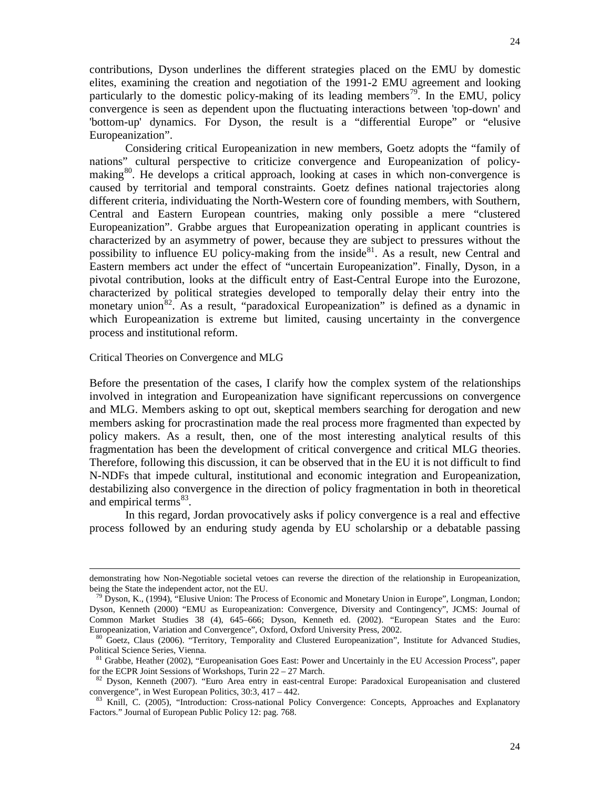Considering critical Europeanization in new members, Goetz adopts the "family of nations" cultural perspective to criticize convergence and Europeanization of policymaking<sup>80</sup>. He develops a critical approach, looking at cases in which non-convergence is caused by territorial and temporal constraints. Goetz defines national trajectories along different criteria, individuating the North-Western core of founding members, with Southern, Central and Eastern European countries, making only possible a mere "clustered Europeanization". Grabbe argues that Europeanization operating in applicant countries is characterized by an asymmetry of power, because they are subject to pressures without the possibility to influence EU policy-making from the inside<sup>[81](#page-23-2)</sup>. As a result, new Central and Eastern members act under the effect of "uncertain Europeanization". Finally, Dyson, in a pivotal contribution, looks at the difficult entry of East-Central Europe into the Eurozone, characterized by political strategies developed to temporally delay their entry into the monetary union<sup>[82](#page-23-3)</sup>. As a result, "paradoxical Europeanization" is defined as a dynamic in which Europeanization is extreme but limited, causing uncertainty in the convergence process and institutional reform.

## Critical Theories on Convergence and MLG

-

Before the presentation of the cases, I clarify how the complex system of the relationships involved in integration and Europeanization have significant repercussions on convergence and MLG. Members asking to opt out, skeptical members searching for derogation and new members asking for procrastination made the real process more fragmented than expected by policy makers. As a result, then, one of the most interesting analytical results of this fragmentation has been the development of critical convergence and critical MLG theories. Therefore, following this discussion, it can be observed that in the EU it is not difficult to find N-NDFs that impede cultural, institutional and economic integration and Europeanization, destabilizing also convergence in the direction of policy fragmentation in both in theoretical and empirical terms<sup>[83](#page-23-4)</sup>.

In this regard, Jordan provocatively asks if policy convergence is a real and effective process followed by an enduring study agenda by EU scholarship or a debatable passing

demonstrating how Non-Negotiable societal vetoes can reverse the direction of the relationship in Europeanization, being the State the independent actor, not the EU.

<span id="page-23-0"></span> $\overline{P}$  Dyson, K., (1994), "Elusive Union: The Process of Economic and Monetary Union in Europe", Longman, London; Dyson, Kenneth (2000) "EMU as Europeanization: Convergence, Diversity and Contingency", JCMS: Journal of Common Market Studies 38 (4), 645–666; Dyson, Kenneth ed. (2002). "European States and the Euro: Europeanization, Variation and Convergence", Oxford, Oxford University Press, 2002.

<span id="page-23-1"></span><sup>80</sup> Goetz, Claus (2006). "Territory, Temporality and Clustered Europeanization", Institute for Advanced Studies, Political Science Series, Vienna.

<span id="page-23-2"></span><sup>&</sup>lt;sup>81</sup> Grabbe, Heather (2002), "Europeanisation Goes East: Power and Uncertainly in the EU Accession Process", paper for the ECPR Joint Sessions of Workshops, Turin 22 – 27 March.

<span id="page-23-3"></span><sup>&</sup>lt;sup>82</sup> Dyson, Kenneth (2007). "Euro Area entry in east-central Europe: Paradoxical Europeanisation and clustered convergence", in West European Politics, 30:3, 417 – 442.

<span id="page-23-4"></span><sup>&</sup>lt;sup>83</sup> Knill, C. (2005), "Introduction: Cross-national Policy Convergence: Concepts, Approaches and Explanatory Factors." Journal of European Public Policy 12: pag. 768.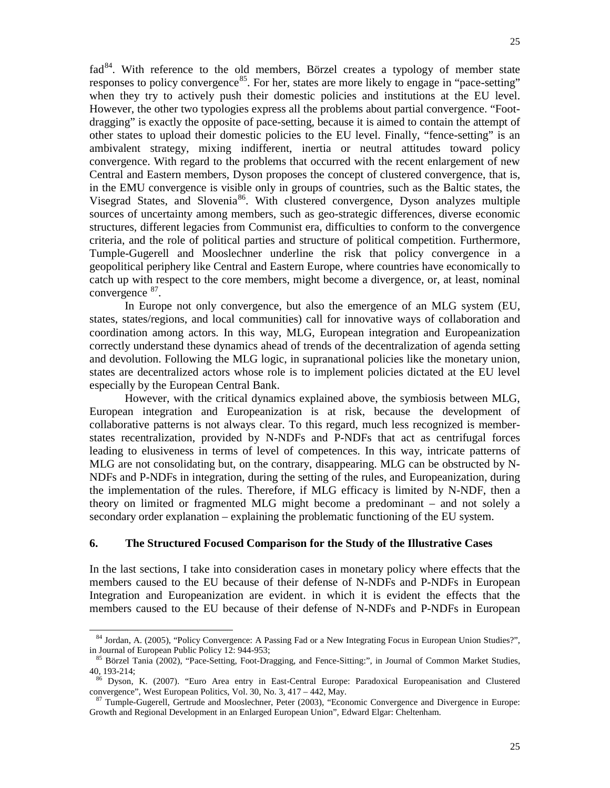$rad^{84}$ . With reference to the old members, Börzel creates a typology of member state responses to policy convergence<sup>[85](#page-24-1)</sup>. For her, states are more likely to engage in "pace-setting" when they try to actively push their domestic policies and institutions at the EU level. However, the other two typologies express all the problems about partial convergence. "Footdragging" is exactly the opposite of pace-setting, because it is aimed to contain the attempt of other states to upload their domestic policies to the EU level. Finally, "fence-setting" is an ambivalent strategy, mixing indifferent, inertia or neutral attitudes toward policy convergence. With regard to the problems that occurred with the recent enlargement of new Central and Eastern members, Dyson proposes the concept of clustered convergence, that is, in the EMU convergence is visible only in groups of countries, such as the Baltic states, the Visegrad States, and Slovenia<sup>86</sup>. With clustered convergence, Dyson analyzes multiple sources of uncertainty among members, such as geo-strategic differences, diverse economic structures, different legacies from Communist era, difficulties to conform to the convergence criteria, and the role of political parties and structure of political competition. Furthermore, Tumple-Gugerell and Mooslechner underline the risk that policy convergence in a geopolitical periphery like Central and Eastern Europe, where countries have economically to catch up with respect to the core members, might become a divergence, or, at least, nominal convergence <sup>[87](#page-24-3)</sup>.

In Europe not only convergence, but also the emergence of an MLG system (EU, states, states/regions, and local communities) call for innovative ways of collaboration and coordination among actors. In this way, MLG, European integration and Europeanization correctly understand these dynamics ahead of trends of the decentralization of agenda setting and devolution. Following the MLG logic, in supranational policies like the monetary union, states are decentralized actors whose role is to implement policies dictated at the EU level especially by the European Central Bank.

However, with the critical dynamics explained above, the symbiosis between MLG, European integration and Europeanization is at risk, because the development of collaborative patterns is not always clear. To this regard, much less recognized is memberstates recentralization, provided by N-NDFs and P-NDFs that act as centrifugal forces leading to elusiveness in terms of level of competences. In this way, intricate patterns of MLG are not consolidating but, on the contrary, disappearing. MLG can be obstructed by N-NDFs and P-NDFs in integration, during the setting of the rules, and Europeanization, during the implementation of the rules. Therefore, if MLG efficacy is limited by N-NDF, then a theory on limited or fragmented MLG might become a predominant – and not solely a secondary order explanation – explaining the problematic functioning of the EU system.

# **6. The Structured Focused Comparison for the Study of the Illustrative Cases**

In the last sections, I take into consideration cases in monetary policy where effects that the members caused to the EU because of their defense of N-NDFs and P-NDFs in European Integration and Europeanization are evident. in which it is evident the effects that the members caused to the EU because of their defense of N-NDFs and P-NDFs in European

j

<span id="page-24-0"></span><sup>84</sup> Jordan, A. (2005), "Policy Convergence: A Passing Fad or a New Integrating Focus in European Union Studies?", in Journal of European Public Policy 12: 944-953;

<span id="page-24-1"></span><sup>85</sup> Börzel Tania (2002), "Pace-Setting, Foot-Dragging, and Fence-Sitting:", in Journal of Common Market Studies, 40, 193-214;

<span id="page-24-2"></span><sup>86</sup> Dyson, K. (2007). "Euro Area entry in East-Central Europe: Paradoxical Europeanisation and Clustered convergence", West European Politics, Vol. 30, No. 3, 417 – 442, May.

<span id="page-24-3"></span><sup>87</sup> Tumple-Gugerell, Gertrude and Mooslechner, Peter (2003), "Economic Convergence and Divergence in Europe: Growth and Regional Development in an Enlarged European Union", Edward Elgar: Cheltenham.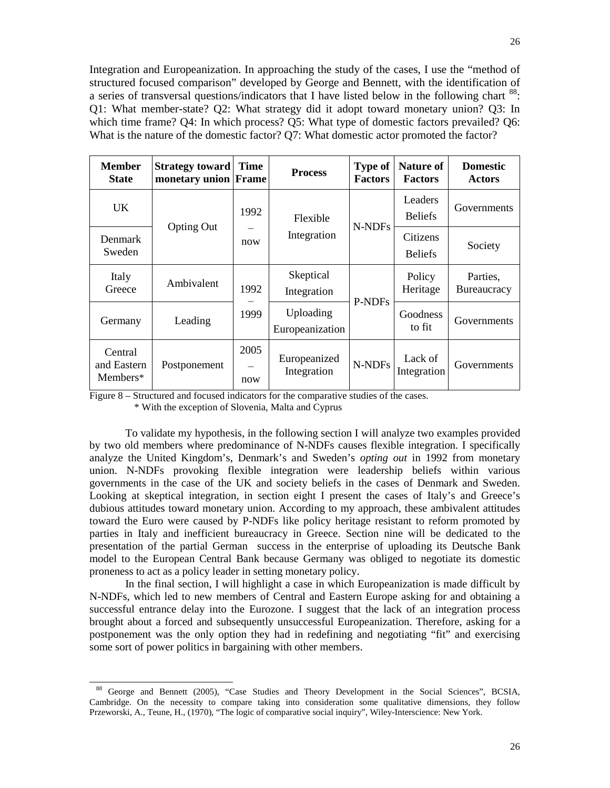Integration and Europeanization. In approaching the study of the cases, I use the "method of structured focused comparison" developed by George and Bennett, with the identification of a series of transversal questions/indicators that I have listed below in the following chart <sup>[88](#page-25-0)</sup>: Q1: What member-state? Q2: What strategy did it adopt toward monetary union? Q3: In which time frame? Q4: In which process? Q5: What type of domestic factors prevailed? Q6: What is the nature of the domestic factor? Q7: What domestic actor promoted the factor?

| <b>Member</b><br><b>State</b>      | <b>Strategy toward</b><br>monetary union Frame | <b>Time</b>                            | <b>Process</b>               | <b>Type of</b><br><b>Factors</b> | <b>Nature of</b><br><b>Factors</b> | <b>Domestic</b><br><b>Actors</b> |
|------------------------------------|------------------------------------------------|----------------------------------------|------------------------------|----------------------------------|------------------------------------|----------------------------------|
| <b>UK</b>                          |                                                | 1992<br>Flexible<br>Integration<br>now |                              | N-NDFs                           | Leaders<br><b>Beliefs</b>          | Governments                      |
| Denmark<br>Sweden                  | <b>Opting Out</b>                              |                                        |                              | Citizens<br><b>Beliefs</b>       | Society                            |                                  |
| Italy<br>Greece                    | Ambivalent                                     | 1992                                   | Skeptical<br>Integration     | P-NDFs                           | Policy<br>Heritage                 | Parties.<br><b>Bureaucracy</b>   |
| Germany                            | Leading                                        | 1999                                   | Uploading<br>Europeanization |                                  | Goodness<br>to fit                 | Governments                      |
| Central<br>and Eastern<br>Members* | Postponement                                   | 2005<br>now                            | Europeanized<br>Integration  | N-NDFs                           | Lack of<br>Integration             | Governments                      |

Figure 8 – Structured and focused indicators for the comparative studies of the cases.

\* With the exception of Slovenia, Malta and Cyprus

l

To validate my hypothesis, in the following section I will analyze two examples provided by two old members where predominance of N-NDFs causes flexible integration. I specifically analyze the United Kingdom's, Denmark's and Sweden's *opting out* in 1992 from monetary union. N-NDFs provoking flexible integration were leadership beliefs within various governments in the case of the UK and society beliefs in the cases of Denmark and Sweden. Looking at skeptical integration, in section eight I present the cases of Italy's and Greece's dubious attitudes toward monetary union. According to my approach, these ambivalent attitudes toward the Euro were caused by P-NDFs like policy heritage resistant to reform promoted by parties in Italy and inefficient bureaucracy in Greece. Section nine will be dedicated to the presentation of the partial German success in the enterprise of uploading its Deutsche Bank model to the European Central Bank because Germany was obliged to negotiate its domestic proneness to act as a policy leader in setting monetary policy.

In the final section, I will highlight a case in which Europeanization is made difficult by N-NDFs, which led to new members of Central and Eastern Europe asking for and obtaining a successful entrance delay into the Eurozone. I suggest that the lack of an integration process brought about a forced and subsequently unsuccessful Europeanization. Therefore, asking for a postponement was the only option they had in redefining and negotiating "fit" and exercising some sort of power politics in bargaining with other members.

<span id="page-25-0"></span><sup>88</sup> George and Bennett (2005), "Case Studies and Theory Development in the Social Sciences", BCSIA, Cambridge. On the necessity to compare taking into consideration some qualitative dimensions, they follow Przeworski, A., Teune, H., (1970), "The logic of comparative social inquiry", Wiley-Interscience: New York.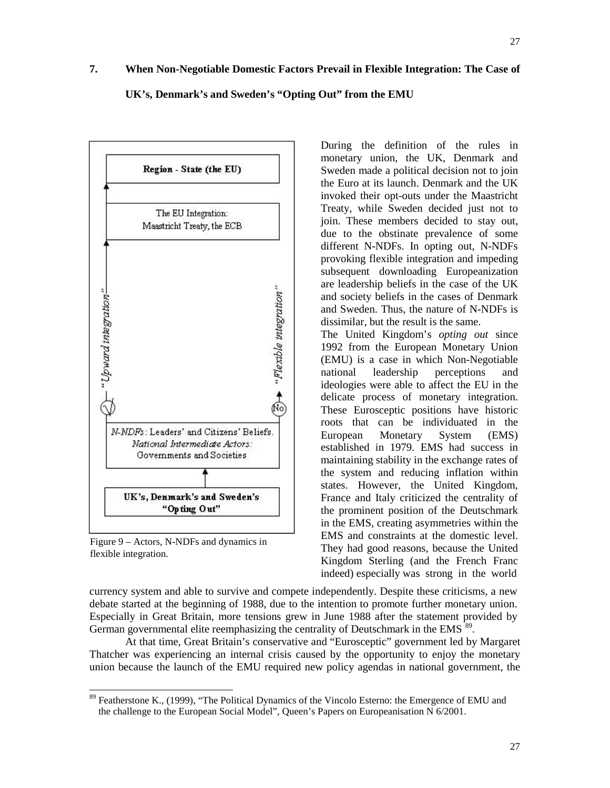# **7. When Non-Negotiable Domestic Factors Prevail in Flexible Integration: The Case of**

# **UK's, Denmark's and Sweden's "Opting Out" from the EMU**



Figure 9 – Actors, N-NDFs and dynamics in flexible integration.

During the definition of the rules in monetary union, the UK, Denmark and Sweden made a political decision not to join the Euro at its launch. Denmark and the UK invoked their opt-outs under the Maastricht Treaty, while Sweden decided just not to join. These members decided to stay out, due to the obstinate prevalence of some different N-NDFs. In opting out, N-NDFs provoking flexible integration and impeding subsequent downloading Europeanization are leadership beliefs in the case of the UK and society beliefs in the cases of Denmark and Sweden. Thus, the nature of N-NDFs is dissimilar, but the result is the same.

The United Kingdom's *opting out* since 1992 from the European Monetary Union (EMU) is a case in which Non-Negotiable national leadership perceptions and ideologies were able to affect the EU in the delicate process of monetary integration. These Eurosceptic positions have historic roots that can be individuated in the European Monetary System (EMS) established in 1979. EMS had success in maintaining stability in the exchange rates of the system and reducing inflation within states. However, the United Kingdom, France and Italy criticized the centrality of the prominent position of the Deutschmark in the EMS, creating asymmetries within the EMS and constraints at the domestic level. They had good reasons, because the United Kingdom Sterling (and the French Franc indeed) especially was strong in the world

currency system and able to survive and compete independently. Despite these criticisms, a new debate started at the beginning of 1988, due to the intention to promote further monetary union. Especially in Great Britain, more tensions grew in June 1988 after the statement provided by German governmental elite reemphasizing the centrality of Deutschmark in the EMS $\frac{89}{ }$  $\frac{89}{ }$  $\frac{89}{ }$ .

At that time, Great Britain's conservative and "Eurosceptic" government led by Margaret Thatcher was experiencing an internal crisis caused by the opportunity to enjoy the monetary union because the launch of the EMU required new policy agendas in national government, the

<span id="page-26-0"></span><sup>&</sup>lt;sup>89</sup> Featherstone K., (1999), "The Political Dynamics of the Vincolo Esterno: the Emergence of EMU and the challenge to the European Social Model", Queen's Papers on Europeanisation N 6/2001.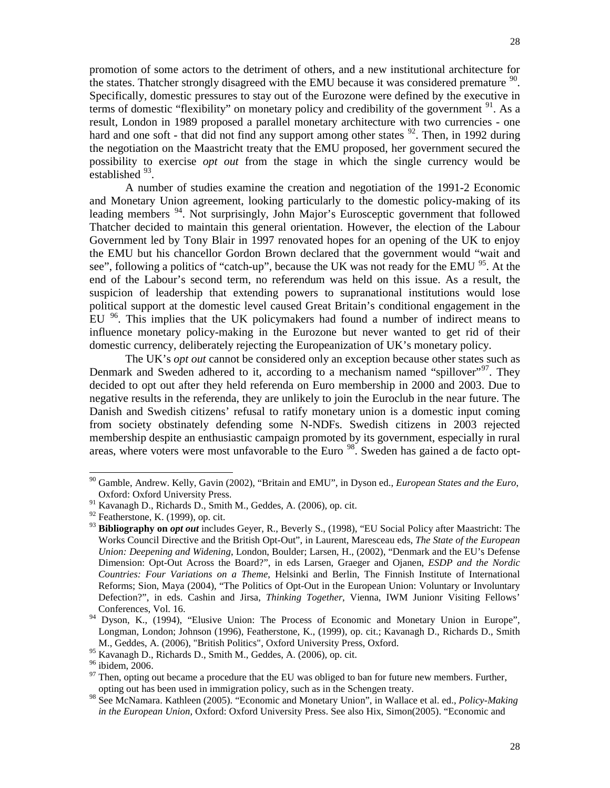promotion of some actors to the detriment of others, and a new institutional architecture for the states. Thatcher strongly disagreed with the EMU because it was considered premature  $90$ . Specifically, domestic pressures to stay out of the Eurozone were defined by the executive in terms of domestic "flexibility" on monetary policy and credibility of the government  $91$ . As a result, London in 1989 proposed a parallel monetary architecture with two currencies - one hard and one soft - that did not find any support among other states  $92$ . Then, in 1992 during the negotiation on the Maastricht treaty that the EMU proposed, her government secured the possibility to exercise *opt out* from the stage in which the single currency would be established  $93$ .

A number of studies examine the creation and negotiation of the 1991-2 Economic and Monetary Union agreement, looking particularly to the domestic policy-making of its leading members <sup>[94](#page-27-4)</sup>. Not surprisingly, John Major's Eurosceptic government that followed Thatcher decided to maintain this general orientation. However, the election of the Labour Government led by Tony Blair in 1997 renovated hopes for an opening of the UK to enjoy the EMU but his chancellor Gordon Brown declared that the government would "wait and see", following a politics of "catch-up", because the UK was not ready for the EMU  $^{95}$  $^{95}$  $^{95}$ . At the end of the Labour's second term, no referendum was held on this issue. As a result, the suspicion of leadership that extending powers to supranational institutions would lose political support at the domestic level caused Great Britain's conditional engagement in the EU <sup>[96](#page-27-6)</sup>. This implies that the UK policymakers had found a number of indirect means to influence monetary policy-making in the Eurozone but never wanted to get rid of their domestic currency, deliberately rejecting the Europeanization of UK's monetary policy.

The UK's *opt out* cannot be considered only an exception because other states such as Denmark and Sweden adhered to it, according to a mechanism named "spillover"<sup>[97](#page-27-7)</sup>. They decided to opt out after they held referenda on Euro membership in 2000 and 2003. Due to negative results in the referenda, they are unlikely to join the Euroclub in the near future. The Danish and Swedish citizens' refusal to ratify monetary union is a domestic input coming from society obstinately defending some N-NDFs. Swedish citizens in 2003 rejected membership despite an enthusiastic campaign promoted by its government, especially in rural areas, where voters were most unfavorable to the Euro<sup>[98](#page-27-8)</sup>. Sweden has gained a de facto opt-

<span id="page-27-0"></span> <sup>90</sup> Gamble, Andrew. Kelly, Gavin (2002), "Britain and EMU", in Dyson ed., *European States and the Euro*, Oxford: Oxford University Press.

<span id="page-27-1"></span> $91$  Kavanagh D., Richards D., Smith M., Geddes, A. (2006), op. cit.

<span id="page-27-2"></span> $92$  Featherstone, K. (1999), op. cit.

<span id="page-27-3"></span><sup>93</sup> **Bibliography on** *opt out* includes Geyer, R., Beverly S., (1998), "EU Social Policy after Maastricht: The Works Council Directive and the British Opt-Out", in Laurent, Maresceau eds, *The State of the European Union: Deepening and Widening*, London, Boulder; Larsen, H., (2002), "Denmark and the EU's Defense Dimension: Opt-Out Across the Board?", in eds Larsen, Graeger and Ojanen, *ESDP and the Nordic Countries: Four Variations on a Theme*, Helsinki and Berlin, The Finnish Institute of International Reforms; Sion, Maya (2004), "The Politics of Opt-Out in the European Union: Voluntary or Involuntary Defection?", in eds. Cashin and Jirsa, *Thinking Together*, Vienna, IWM Junionr Visiting Fellows' Conferences, Vol. 16.

<span id="page-27-4"></span>Dyson, K., (1994), "Elusive Union: The Process of Economic and Monetary Union in Europe", Longman, London; Johnson (1996), Featherstone, K., (1999), op. cit.; Kavanagh D., Richards D., Smith M., Geddes, A. (2006), "British Politics", Oxford University Press, Oxford.<br><sup>95</sup> Kavanagh D., Richards D., Smith M., Geddes, A. (2006), op. cit.

<span id="page-27-7"></span><span id="page-27-6"></span><span id="page-27-5"></span><sup>&</sup>lt;sup>96</sup> ibidem, 2006.<br><sup>97</sup> Then, opting out became a procedure that the EU was obliged to ban for future new members. Further, opting out has been used in immigration policy, such as in the Schengen treaty.

<span id="page-27-8"></span><sup>98</sup> See McNamara. Kathleen (2005). "Economic and Monetary Union", in Wallace et al. ed., *Policy-Making in the European Union,* Oxford: Oxford University Press. See also Hix, Simon(2005). "Economic and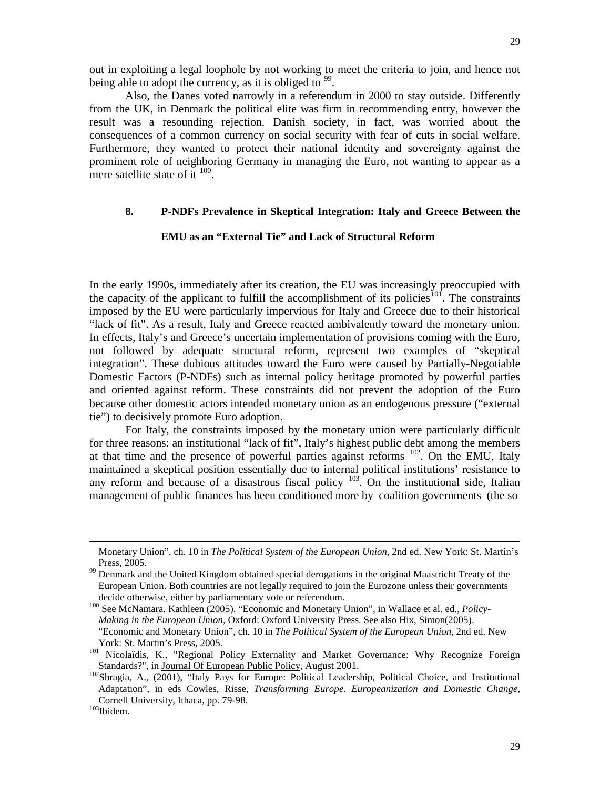out in exploiting a legal loophole by not working to meet the criteria to join, and hence not being able to adopt the currency, as it is obliged to  $99$ .

Also, the Danes voted narrowly in a referendum in 2000 to stay outside. Differently from the UK, in Denmark the political elite was firm in recommending entry, however the result was a resounding rejection. Danish society, in fact, was worried about the consequences of a common currency on social security with fear of cuts in social welfare. Furthermore, they wanted to protect their national identity and sovereignty against the prominent role of neighboring Germany in managing the Euro, not wanting to appear as a mere satellite state of it  $100$ .

# **8. P-NDFs Prevalence in Skeptical Integration: Italy and Greece Between the**

# **EMU as an "External Tie" and Lack of Structural Reform**

In the early 1990s, immediately after its creation, the EU was increasingly preoccupied with the capacity of the applicant to fulfill the accomplishment of its policies<sup>[101](#page-28-2)</sup>. The constraints imposed by the EU were particularly impervious for Italy and Greece due to their historical "lack of fit". As a result, Italy and Greece reacted ambivalently toward the monetary union. In effects, Italy's and Greece's uncertain implementation of provisions coming with the Euro, not followed by adequate structural reform, represent two examples of "skeptical integration". These dubious attitudes toward the Euro were caused by Partially-Negotiable Domestic Factors (P-NDFs) such as internal policy heritage promoted by powerful parties and oriented against reform. These constraints did not prevent the adoption of the Euro because other domestic actors intended monetary union as an endogenous pressure ("external tie") to decisively promote Euro adoption.

For Italy, the constraints imposed by the monetary union were particularly difficult for three reasons: an institutional "lack of fit", Italy's highest public debt among the members at that time and the presence of powerful parties against reforms  $102$ . On the EMU, Italy maintained a skeptical position essentially due to internal political institutions' resistance to any reform and because of a disastrous fiscal policy  $103$ . On the institutional side, Italian management of public finances has been conditioned more by coalition governments (the so

<span id="page-28-1"></span><sup>100</sup> See McNamara. Kathleen (2005). "Economic and Monetary Union", in Wallace et al. ed., *Policy*-*Making in the European Union,* Oxford: Oxford University Press. See also Hix, Simon(2005). "Economic and Monetary Union", ch. 10 in *The Political System of the European Union*, 2nd ed. New

-

Monetary Union", ch. 10 in *The Political System of the European Union*, 2nd ed. New York: St. Martin's Press, 2005.<br><sup>99</sup> Denmark and the United Kingdom obtained special derogations in the original Maastricht Treaty of the

<span id="page-28-0"></span>European Union. Both countries are not legally required to join the Eurozone unless their governments

<span id="page-28-2"></span>York: St. Martin's Press, 2005.<br><sup>101</sup> Nicolaïdis, K., "Regional Policy Externality and Market Governance: Why Recognize Foreign

<span id="page-28-3"></span>Standards?", in Journal Of European Public Policy, August 2001.<br><sup>102</sup>Sbragia, A., (2001), "Italy Pays for Europe: Political Leadership, Political Choice, and Institutional Adaptation", in eds Cowles, Risse, *Transforming Europe. Europeanization and Domestic Change*, Cornell University, Ithaca, pp. 79-98.<br><sup>103</sup>Ibidem.

<span id="page-28-4"></span>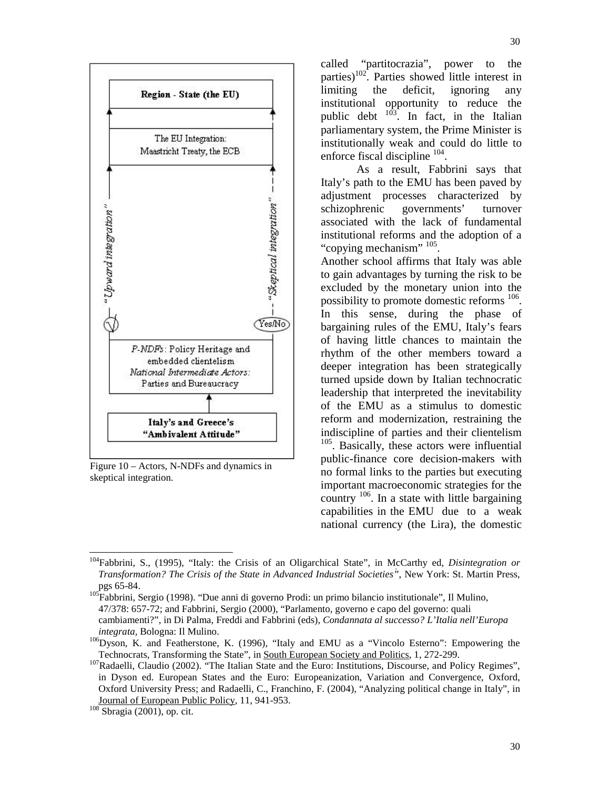

Figure 10 – Actors, N-NDFs and dynamics in skeptical integration.

called "partitocrazia", power to the parties)<sup>102</sup>. Parties showed little interest in limiting the deficit, ignoring any institutional opportunity to reduce the public debt  $103$ . In fact, in the Italian  $\lambda$ <sup>3</sup>. In fact, in the Italian parliamentary system, the Prime Minister is institutionally weak and could do little to enforce fiscal discipline  $^{104}$ .

As a result, Fabbrini says that Italy's path to the EMU has been paved by adjustment processes characterized by schizophrenic governments' turnover associated with the lack of fundamental institutional reforms and the adoption of a "copying mechanism" <sup>105</sup>.

Another school affirms that Italy was able to gain advantages by turning the risk to be excluded by the monetary union into the possibility to promote domestic reforms  $^{106}$ . In this sense, during the phase of bargaining rules of the EMU, Italy's fears of having little chances to maintain the rhythm of the other members toward a deeper integration has been strategically turned upside down by Italian technocratic leadership that interpreted the inevitability of the EMU as a stimulus to domestic reform and modernization, restraining the indiscipline of parties and their clientelism <sup>105</sup>. Basically, these actors were influential public-finance core decision-makers with no formal links to the parties but executing important macroeconomic strategies for the country  $106$ . In a state with little bargaining capabilities in the EMU due to a weak national currency (the Lira), the domestic

47/378: 657-72; and Fabbrini, Sergio (2000), "Parlamento, governo e capo del governo: quali

<span id="page-29-0"></span><sup>&</sup>lt;sup>104</sup>Fabbrini, S., (1995), "Italy: the Crisis of an Oligarchical State", in McCarthy ed, *Disintegration or* 1 *Transformation? The Crisis of the State in Advanced Industrial Societies"*, New York: St. Martin Press, pgs 65-84. 105Fabbrini, Sergio (1998). "Due anni di governo Prodi: un primo bilancio institutionale", Il Mulino,

cambiamenti?", in Di Palma, Freddi and Fabbrini (eds), *Condannata al successo? L'Italia nell'Europa* 

*integrata, Bologna: Il Mulino.* 106Dyson, K. and Featherstone, K. (1996), "Italy and EMU as a "Vincolo Esterno": Empowering the Technocrats, Transforming the State", in South European Society and Politics, 1, 272-299.

 $107}$ Radaelli, Claudio (2002). "The Italian State and the Euro: Institutions, Discourse, and Policy Regimes", in Dyson ed. European States and the Euro: Europeanization, Variation and Convergence, Oxford, Oxford University Press; and Radaelli, C., Franchino, F. (2004), "Analyzing political change in Italy", in Journal of European Public Policy, 11, 941-953. <sup>108</sup> Sbragia (2001), op. cit.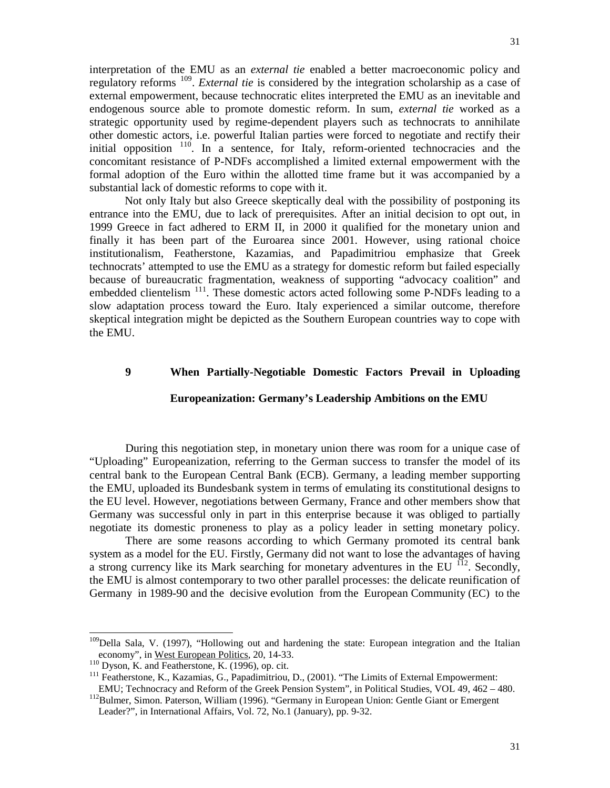interpretation of the EMU as an *external tie* enabled a better macroeconomic policy and regulatory reforms [109.](#page-30-0) *External tie* is considered by the integration scholarship as a case of external empowerment, because technocratic elites interpreted the EMU as an inevitable and endogenous source able to promote domestic reform. In sum, *external tie* worked as a strategic opportunity used by regime-dependent players such as technocrats to annihilate other domestic actors, i.e. powerful Italian parties were forced to negotiate and rectify their initial opposition <sup>[110](#page-30-1)</sup>. In a sentence, for Italy, reform-oriented technocracies and the concomitant resistance of P-NDFs accomplished a limited external empowerment with the formal adoption of the Euro within the allotted time frame but it was accompanied by a substantial lack of domestic reforms to cope with it.

Not only Italy but also Greece skeptically deal with the possibility of postponing its entrance into the EMU, due to lack of prerequisites. After an initial decision to opt out, in 1999 Greece in fact adhered to ERM II, in 2000 it qualified for the monetary union and finally it has been part of the Euroarea since 2001. However, using rational choice institutionalism, Featherstone, Kazamias, and Papadimitriou emphasize that Greek technocrats' attempted to use the EMU as a strategy for domestic reform but failed especially because of bureaucratic fragmentation, weakness of supporting "advocacy coalition" and embedded clientelism<sup>[111](#page-30-2)</sup>. These domestic actors acted following some P-NDFs leading to a slow adaptation process toward the Euro. Italy experienced a similar outcome, therefore skeptical integration might be depicted as the Southern European countries way to cope with the EMU.

# **9 When Partially-Negotiable Domestic Factors Prevail in Uploading**

# **Europeanization: Germany's Leadership Ambitions on the EMU**

During this negotiation step, in monetary union there was room for a unique case of "Uploading" Europeanization, referring to the German success to transfer the model of its central bank to the European Central Bank (ECB). Germany, a leading member supporting the EMU, uploaded its Bundesbank system in terms of emulating its constitutional designs to the EU level. However, negotiations between Germany, France and other members show that Germany was successful only in part in this enterprise because it was obliged to partially negotiate its domestic proneness to play as a policy leader in setting monetary policy.

There are some reasons according to which Germany promoted its central bank system as a model for the EU. Firstly, Germany did not want to lose the advantages of having a strong currency like its Mark searching for monetary adventures in the EU  $^{112}$  $^{112}$  $^{112}$ . Secondly, the EMU is almost contemporary to two other parallel processes: the delicate reunification of Germany in 1989-90 and the decisive evolution from the European Community (EC) to the

<span id="page-30-0"></span><sup>&</sup>lt;sup>109</sup>Della Sala, V. (1997), "Hollowing out and hardening the state: European integration and the Italian economy", in West European Politics, 20, 14-33.

<span id="page-30-2"></span><span id="page-30-1"></span><sup>&</sup>lt;sup>110</sup> Dyson, K. and Featherstone, K. (1996), op. cit.<br><sup>111</sup> Featherstone, K., Kazamias, G., Papadimitriou, D., (2001). "The Limits of External Empowerment:<br>EMU; Technocracy and Reform of the Greek Pension System", in Poli

<span id="page-30-3"></span><sup>&</sup>lt;sup>112</sup>Bulmer, Simon. Paterson, William (1996). "Germany in European Union: Gentle Giant or Emergent Leader?", in International Affairs, Vol. 72, No.1 (January), pp. 9-32.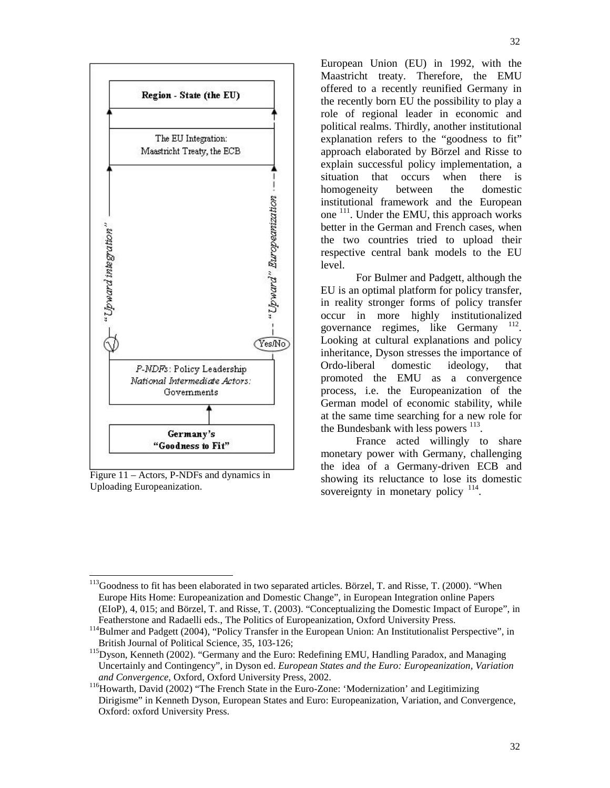

Figure 11 – Actors, P-NDFs and dynamics in Uploading Europeanization.

European Union (EU) in 1992, with the Maastricht treaty. Therefore, the EMU offered to a recently reunified Germany in the recently born EU the possibility to play a role of regional leader in economic and political realms. Thirdly, another institutional explanation refers to the "goodness to fit" approach elaborated by Börzel and Risse to explain successful policy implementation, a situation that occurs when there is homogeneity between the domestic institutional framework and the European one 111. Under the EMU, this approach works better in the German and French cases, when the two countries tried to upload their respective central bank models to the EU level.

For Bulmer and Padgett, although the EU is an optimal platform for policy transfer, in reality stronger forms of policy transfer occur in more highly institutionalized governance regimes, like Germany  $112$ . Looking at cultural explanations and policy inheritance, Dyson stresses the importance of Ordo-liberal domestic ideology, that promoted the EMU as a convergence process, i.e. the Europeanization of the German model of economic stability, while at the same time searching for a new role for the Bundesbank with less powers  $^{113}$ .

France acted willingly to share monetary power with Germany, challenging the idea of a Germany-driven ECB and showing its reluctance to lose its domestic sovereignty in monetary policy  $114$ .

<span id="page-31-0"></span><sup>&</sup>lt;sup>113</sup>Goodness to fit has been elaborated in two separated articles. Börzel, T. and Risse, T. (2000). "When Europe Hits Home: Europeanization and Domestic Change", in European Integration online Papers (EIoP), 4, 015; and Börzel, T. and Risse, T. (2003). "Conceptualizing the Domestic Impact of Europe", in

Featherstone and Radaelli eds., The Politics of Europeanization, Oxford University Press.<br><sup>114</sup>Bulmer and Padgett (2004), "Policy Transfer in the European Union: An Institutionalist Perspective", in British Journal of Political Science, 35, 103-126;<br><sup>115</sup>Dyson, Kenneth (2002). "Germany and the Euro: Redefining EMU, Handling Paradox, and Managing

Uncertainly and Contingency", in Dyson ed. *European States and the Euro: Europeanization, Variation* 

*and Convergence*, Oxford, Oxford University Press, 2002.<br><sup>116</sup>Howarth, David (2002) "The French State in the Euro-Zone: 'Modernization' and Legitimizing Dirigisme" in Kenneth Dyson, European States and Euro: Europeanization, Variation, and Convergence, Oxford: oxford University Press.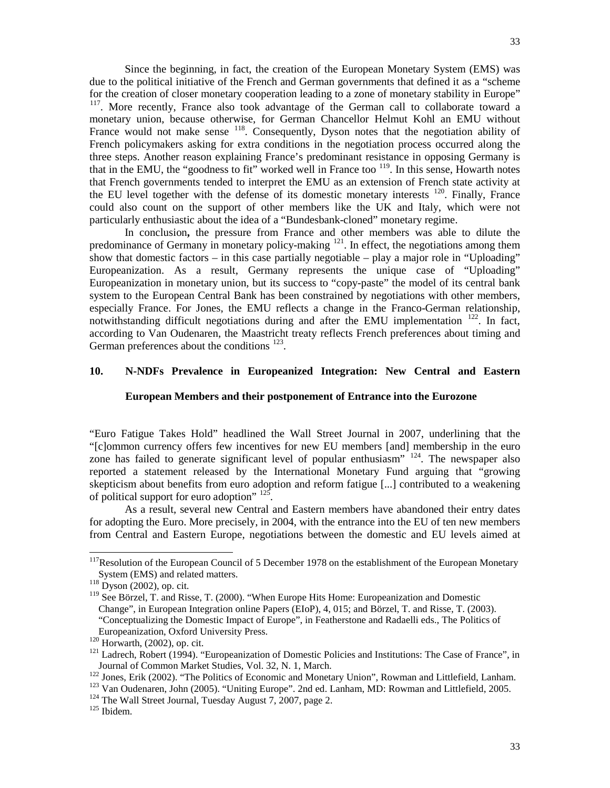Since the beginning, in fact, the creation of the European Monetary System (EMS) was due to the political initiative of the French and German governments that defined it as a "scheme for the creation of closer monetary cooperation leading to a zone of monetary stability in Europe" <sup>117</sup>. More recently, France also took advantage of the German call to collaborate toward a monetary union, because otherwise, for German Chancellor Helmut Kohl an EMU without France would not make sense <sup>118</sup>. Consequently, Dyson notes that the negotiation ability of French policymakers asking for extra conditions in the negotiation process occurred along the three steps. Another reason explaining France's predominant resistance in opposing Germany is that in the EMU, the "goodness to fit" worked well in France too  $119$ . In this sense, Howarth notes that French governments tended to interpret the EMU as an extension of French state activity at the EU level together with the defense of its domestic monetary interests  $120$ . Finally, France could also count on the support of other members like the UK and Italy, which were not particularly enthusiastic about the idea of a "Bundesbank-cloned" monetary regime.

In conclusion**,** the pressure from France and other members was able to dilute the predominance of Germany in monetary policy-making  $121$ . In effect, the negotiations among them show that domestic factors – in this case partially negotiable – play a major role in "Uploading" Europeanization. As a result, Germany represents the unique case of "Uploading" Europeanization in monetary union, but its success to "copy-paste" the model of its central bank system to the European Central Bank has been constrained by negotiations with other members, especially France. For Jones, the EMU reflects a change in the Franco-German relationship, notwithstanding difficult negotiations during and after the EMU implementation  $122$ . In fact, according to Van Oudenaren, the Maastricht treaty reflects French preferences about timing and German preferences about the conditions <sup>[123](#page-32-6)</sup>.

# **10. N-NDFs Prevalence in Europeanized Integration: New Central and Eastern**

#### **European Members and their postponement of Entrance into the Eurozone**

"Euro Fatigue Takes Hold" headlined the Wall Street Journal in 2007, underlining that the "[c]ommon currency offers few incentives for new EU members [and] membership in the euro zone has failed to generate significant level of popular enthusiasm<sup> $n^{124}$ </sup>. The newspaper also reported a statement released by the International Monetary Fund arguing that "growing skepticism about benefits from euro adoption and reform fatigue [...] contributed to a weakening of political support for euro adoption"  $^{125}$  $^{125}$  $^{125}$ .

As a result, several new Central and Eastern members have abandoned their entry dates for adopting the Euro. More precisely, in 2004, with the entrance into the EU of ten new members from Central and Eastern Europe, negotiations between the domestic and EU levels aimed at

<span id="page-32-0"></span><sup>&</sup>lt;sup>117</sup>Resolution of the European Council of 5 December 1978 on the establishment of the European Monetary System (EMS) and related matters.

<span id="page-32-1"></span> $118$  Dyson (2002), op. cit.

<span id="page-32-2"></span><sup>&</sup>lt;sup>119</sup> See Börzel, T. and Risse, T. (2000). "When Europe Hits Home: Europeanization and Domestic Change", in European Integration online Papers (EIoP), 4, 015; and Börzel, T. and Risse, T. (2003). "Conceptualizing the Domestic Impact of Europe", in Featherstone and Radaelli eds., The Politics of

<span id="page-32-4"></span>

<span id="page-32-3"></span>Europeanization, Oxford University Press.<br><sup>120</sup> Horwarth, (2002), op. cit.<br><sup>121</sup> Ladrech, Robert (1994). "Europeanization of Domestic Policies and Institutions: The Case of France", in Journal of Common Market Studies, Vol. 32, N. 1, March.<br><sup>122</sup> Jones, Erik (2002). "The Politics of Economic and Monetary Union", Rowman and Littlefield, Lanham.<br><sup>123</sup> Van Oudenaren, John (2005). "Uniting Europe". 2nd ed. L

<span id="page-32-5"></span>

<span id="page-32-7"></span><span id="page-32-6"></span>

<span id="page-32-8"></span>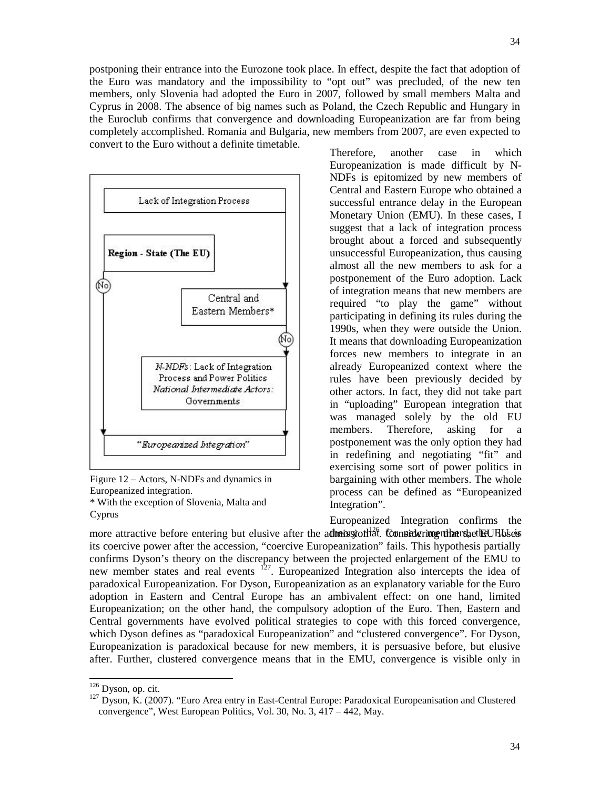postponing their entrance into the Eurozone took place. In effect, despite the fact that adoption of the Euro was mandatory and the impossibility to "opt out" was precluded, of the new ten members, only Slovenia had adopted the Euro in 2007, followed by small members Malta and Cyprus in 2008. The absence of big names such as Poland, the Czech Republic and Hungary in the Euroclub confirms that convergence and downloading Europeanization are far from being completely accomplished. Romania and Bulgaria, new members from 2007, are even expected to convert to the Euro without a definite timetable.



Figure 12 – Actors, N-NDFs and dynamics in Europeanized integration.

\* With the exception of Slovenia, Malta and Cyprus

Therefore, another case in which Europeanization is made difficult by N-NDFs is epitomized by new members of Central and Eastern Europe who obtained a successful entrance delay in the European Monetary Union (EMU). In these cases, I suggest that a lack of integration process brought about a forced and subsequently unsuccessful Europeanization, thus causing almost all the new members to ask for a postponement of the Euro adoption. Lack of integration means that new members are required "to play the game" without participating in defining its rules during the 1990s, when they were outside the Union. It means that downloading Europeanization forces new members to integrate in an already Europeanized context where the rules have been previously decided by other actors. In fact, they did not take part in "uploading" European integration that was managed solely by the old EU members. Therefore, asking for a postponement was the only option they had in redefining and negotiating "fit" and exercising some sort of power politics in bargaining with other members. The whole process can be defined as "Europeanized Integration".

Europeanized Integration confirms the more attractive before entering but elusive after the admissiontlat. Considering uthat the the U Holsess its coercive power after the accession, "coercive Europeanization" fails. This hypothesis partially confirms Dyson's theory on the discrepancy between the projected enlargement of the EMU to new member states and real events <sup>[127](#page-33-0)</sup>. Europeanized Integration also intercepts the idea of paradoxical Europeanization. For Dyson, Europeanization as an explanatory variable for the Euro adoption in Eastern and Central Europe has an ambivalent effect: on one hand, limited Europeanization; on the other hand, the compulsory adoption of the Euro. Then, Eastern and Central governments have evolved political strategies to cope with this forced convergence, which Dyson defines as "paradoxical Europeanization" and "clustered convergence". For Dyson, Europeanization is paradoxical because for new members, it is persuasive before, but elusive after. Further, clustered convergence means that in the EMU, convergence is visible only in

<span id="page-33-0"></span><sup>&</sup>lt;sup>126</sup> Dyson, op. cit.<br><sup>127</sup> Dyson, K. (2007). "Euro Area entry in East-Central Europe: Paradoxical Europeanisation and Clustered convergence", West European Politics, Vol. 30, No. 3, 417 – 442, May.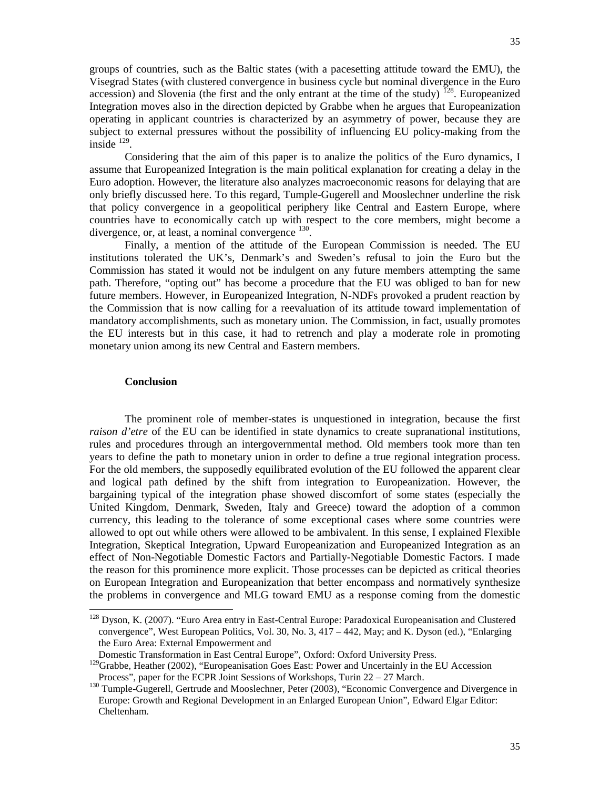groups of countries, such as the Baltic states (with a pacesetting attitude toward the EMU), the Visegrad States (with clustered convergence in business cycle but nominal divergence in the Euro accession) and Slovenia (the first and the only entrant at the time of the study)  $^{128}$ . Europeanized Integration moves also in the direction depicted by Grabbe when he argues that Europeanization operating in applicant countries is characterized by an asymmetry of power, because they are subject to external pressures without the possibility of influencing EU policy-making from the inside  $^{129}$  $^{129}$  $^{129}$ .

Considering that the aim of this paper is to analize the politics of the Euro dynamics, I assume that Europeanized Integration is the main political explanation for creating a delay in the Euro adoption. However, the literature also analyzes macroeconomic reasons for delaying that are only briefly discussed here. To this regard, Tumple-Gugerell and Mooslechner underline the risk that policy convergence in a geopolitical periphery like Central and Eastern Europe, where countries have to economically catch up with respect to the core members, might become a divergence, or, at least, a nominal convergence <sup>[130](#page-34-2)</sup>.

Finally, a mention of the attitude of the European Commission is needed. The EU institutions tolerated the UK's, Denmark's and Sweden's refusal to join the Euro but the Commission has stated it would not be indulgent on any future members attempting the same path. Therefore, "opting out" has become a procedure that the EU was obliged to ban for new future members. However, in Europeanized Integration, N-NDFs provoked a prudent reaction by the Commission that is now calling for a reevaluation of its attitude toward implementation of mandatory accomplishments, such as monetary union. The Commission, in fact, usually promotes the EU interests but in this case, it had to retrench and play a moderate role in promoting monetary union among its new Central and Eastern members.

## **Conclusion**

The prominent role of member-states is unquestioned in integration, because the first *raison d'etre* of the EU can be identified in state dynamics to create supranational institutions, rules and procedures through an intergovernmental method. Old members took more than ten years to define the path to monetary union in order to define a true regional integration process. For the old members, the supposedly equilibrated evolution of the EU followed the apparent clear and logical path defined by the shift from integration to Europeanization. However, the bargaining typical of the integration phase showed discomfort of some states (especially the United Kingdom, Denmark, Sweden, Italy and Greece) toward the adoption of a common currency, this leading to the tolerance of some exceptional cases where some countries were allowed to opt out while others were allowed to be ambivalent. In this sense, I explained Flexible Integration, Skeptical Integration, Upward Europeanization and Europeanized Integration as an effect of Non-Negotiable Domestic Factors and Partially-Negotiable Domestic Factors. I made the reason for this prominence more explicit. Those processes can be depicted as critical theories on European Integration and Europeanization that better encompass and normatively synthesize the problems in convergence and MLG toward EMU as a response coming from the domestic

<span id="page-34-0"></span> <sup>128</sup> Dyson, K. (2007). "Euro Area entry in East-Central Europe: Paradoxical Europeanisation and Clustered convergence", West European Politics, Vol. 30, No. 3, 417 – 442, May; and K. Dyson (ed.), "Enlarging the Euro Area: External Empowerment and

Domestic Transformation in East Central Europe", Oxford: Oxford University Press.

<span id="page-34-1"></span><sup>&</sup>lt;sup>129</sup>Grabbe, Heather (2002), "Europeanisation Goes East: Power and Uncertainly in the EU Accession Process", paper for the ECPR Joint Sessions of Workshops, Turin 22 – 27 March.

<span id="page-34-2"></span><sup>&</sup>lt;sup>130</sup> Tumple-Gugerell, Gertrude and Mooslechner, Peter (2003), "Economic Convergence and Divergence in Europe: Growth and Regional Development in an Enlarged European Union", Edward Elgar Editor: Cheltenham.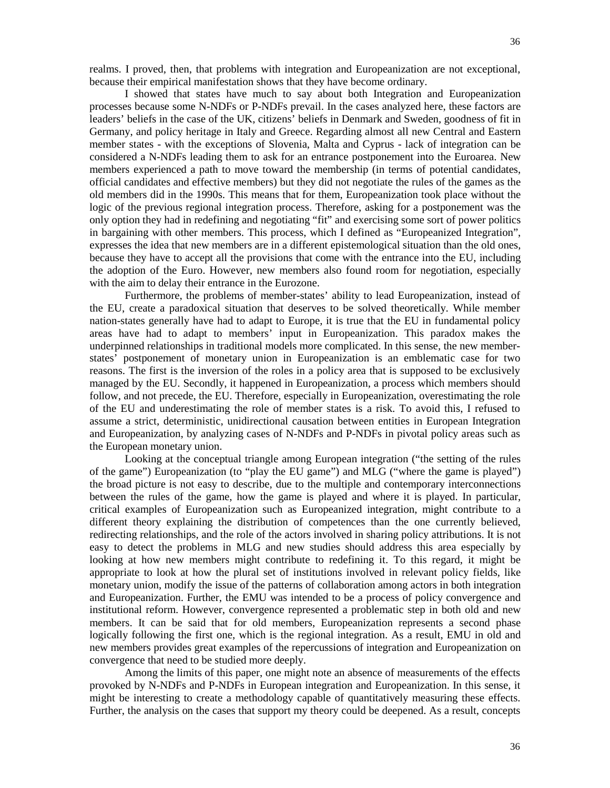realms. I proved, then, that problems with integration and Europeanization are not exceptional, because their empirical manifestation shows that they have become ordinary.

I showed that states have much to say about both Integration and Europeanization processes because some N-NDFs or P-NDFs prevail. In the cases analyzed here, these factors are leaders' beliefs in the case of the UK, citizens' beliefs in Denmark and Sweden, goodness of fit in Germany, and policy heritage in Italy and Greece. Regarding almost all new Central and Eastern member states - with the exceptions of Slovenia, Malta and Cyprus - lack of integration can be considered a N-NDFs leading them to ask for an entrance postponement into the Euroarea. New members experienced a path to move toward the membership (in terms of potential candidates, official candidates and effective members) but they did not negotiate the rules of the games as the old members did in the 1990s. This means that for them, Europeanization took place without the logic of the previous regional integration process. Therefore, asking for a postponement was the only option they had in redefining and negotiating "fit" and exercising some sort of power politics in bargaining with other members. This process, which I defined as "Europeanized Integration", expresses the idea that new members are in a different epistemological situation than the old ones, because they have to accept all the provisions that come with the entrance into the EU, including the adoption of the Euro. However, new members also found room for negotiation, especially with the aim to delay their entrance in the Eurozone.

Furthermore, the problems of member-states' ability to lead Europeanization, instead of the EU, create a paradoxical situation that deserves to be solved theoretically. While member nation-states generally have had to adapt to Europe, it is true that the EU in fundamental policy areas have had to adapt to members' input in Europeanization. This paradox makes the underpinned relationships in traditional models more complicated. In this sense, the new memberstates' postponement of monetary union in Europeanization is an emblematic case for two reasons. The first is the inversion of the roles in a policy area that is supposed to be exclusively managed by the EU. Secondly, it happened in Europeanization, a process which members should follow, and not precede, the EU. Therefore, especially in Europeanization, overestimating the role of the EU and underestimating the role of member states is a risk. To avoid this, I refused to assume a strict, deterministic, unidirectional causation between entities in European Integration and Europeanization, by analyzing cases of N-NDFs and P-NDFs in pivotal policy areas such as the European monetary union.

Looking at the conceptual triangle among European integration ("the setting of the rules of the game") Europeanization (to "play the EU game") and MLG ("where the game is played") the broad picture is not easy to describe, due to the multiple and contemporary interconnections between the rules of the game, how the game is played and where it is played. In particular, critical examples of Europeanization such as Europeanized integration, might contribute to a different theory explaining the distribution of competences than the one currently believed, redirecting relationships, and the role of the actors involved in sharing policy attributions. It is not easy to detect the problems in MLG and new studies should address this area especially by looking at how new members might contribute to redefining it. To this regard, it might be appropriate to look at how the plural set of institutions involved in relevant policy fields, like monetary union, modify the issue of the patterns of collaboration among actors in both integration and Europeanization. Further, the EMU was intended to be a process of policy convergence and institutional reform. However, convergence represented a problematic step in both old and new members. It can be said that for old members, Europeanization represents a second phase logically following the first one, which is the regional integration. As a result, EMU in old and new members provides great examples of the repercussions of integration and Europeanization on convergence that need to be studied more deeply.

Among the limits of this paper, one might note an absence of measurements of the effects provoked by N-NDFs and P-NDFs in European integration and Europeanization. In this sense, it might be interesting to create a methodology capable of quantitatively measuring these effects. Further, the analysis on the cases that support my theory could be deepened. As a result, concepts